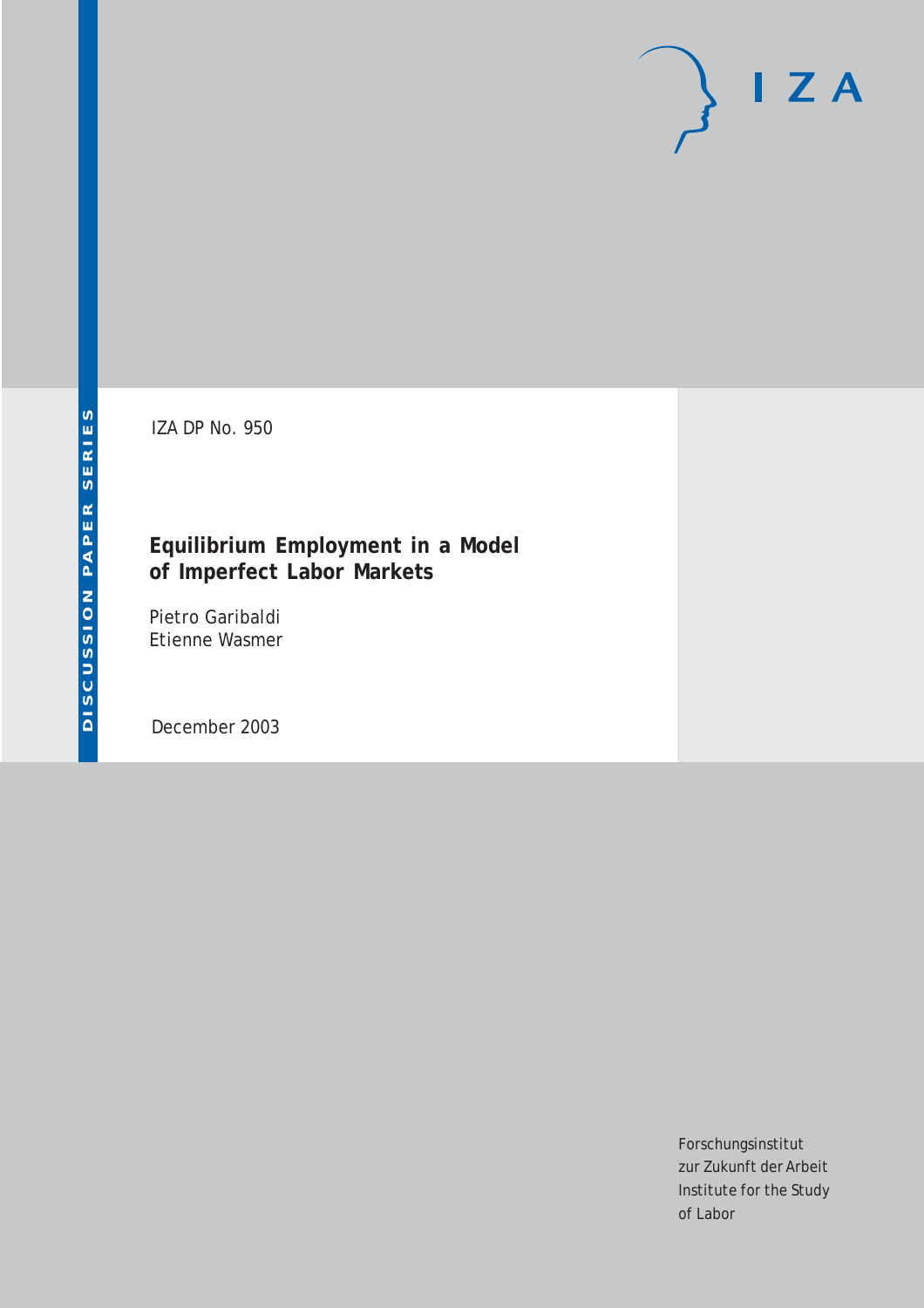# $I Z A$

IZA DP No. 950

## **Equilibrium Employment in a Model of Imperfect Labor Markets**

Pietro Garibaldi Etienne Wasmer

December 2003

Forschungsinstitut zur Zukunft der Arbeit Institute for the Study of Labor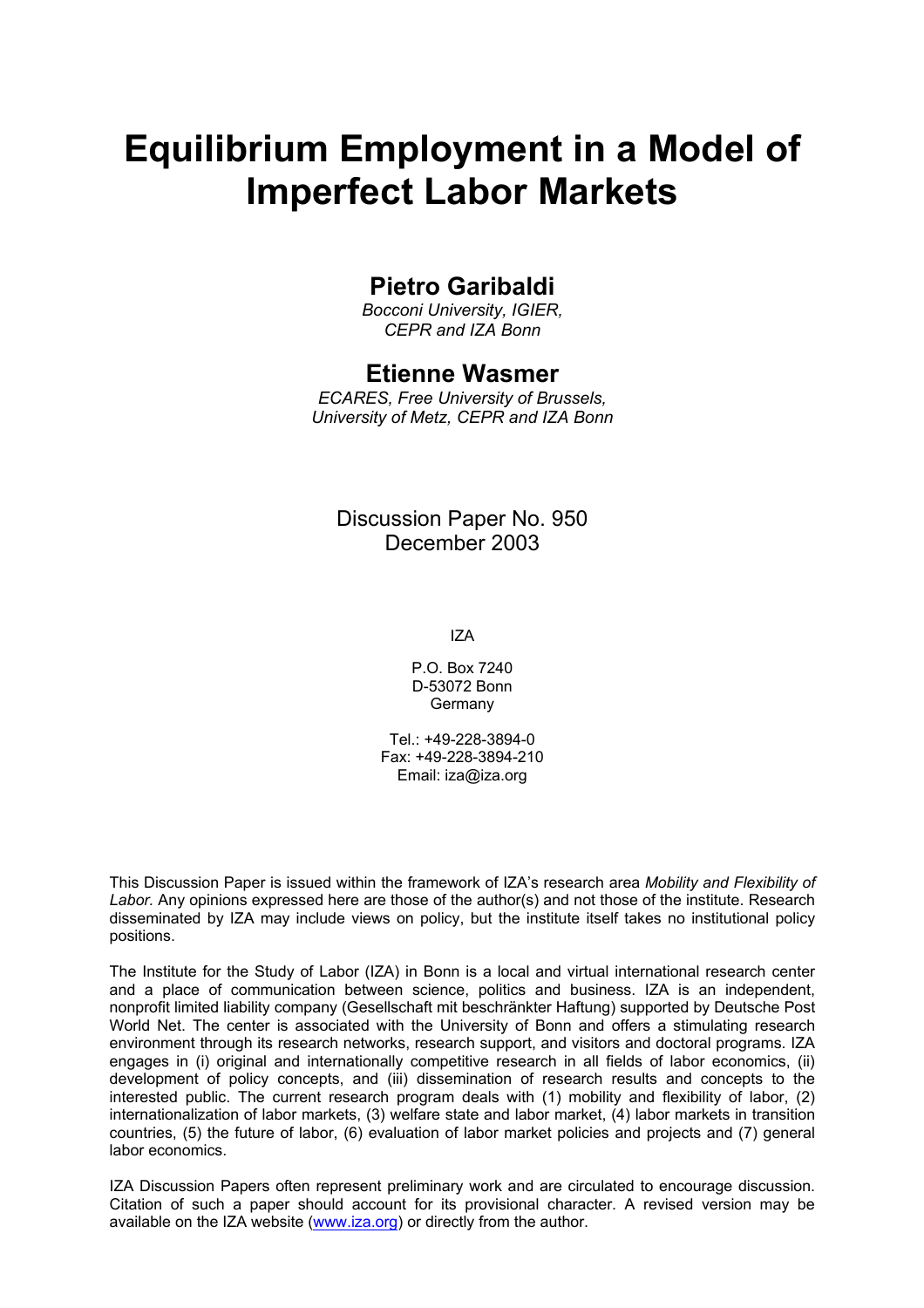# **Equilibrium Employment in a Model of Imperfect Labor Markets**

## **Pietro Garibaldi**

*Bocconi University, IGIER, CEPR and IZA Bonn* 

## **Etienne Wasmer**

*ECARES, Free University of Brussels, University of Metz, CEPR and IZA Bonn* 

## Discussion Paper No. 950 December 2003

IZA

P.O. Box 7240 D-53072 Bonn Germany

Tel.: +49-228-3894-0 Fax: +49-228-3894-210 Email: [iza@iza.org](mailto:iza@iza.org)

This Discussion Paper is issued within the framework of IZA's research area *Mobility and Flexibility of Labor.* Any opinions expressed here are those of the author(s) and not those of the institute. Research disseminated by IZA may include views on policy, but the institute itself takes no institutional policy positions.

The Institute for the Study of Labor (IZA) in Bonn is a local and virtual international research center and a place of communication between science, politics and business. IZA is an independent, nonprofit limited liability company (Gesellschaft mit beschränkter Haftung) supported by Deutsche Post World Net. The center is associated with the University of Bonn and offers a stimulating research environment through its research networks, research support, and visitors and doctoral programs. IZA engages in (i) original and internationally competitive research in all fields of labor economics, (ii) development of policy concepts, and (iii) dissemination of research results and concepts to the interested public. The current research program deals with (1) mobility and flexibility of labor, (2) internationalization of labor markets, (3) welfare state and labor market, (4) labor markets in transition countries, (5) the future of labor, (6) evaluation of labor market policies and projects and (7) general labor economics.

IZA Discussion Papers often represent preliminary work and are circulated to encourage discussion. Citation of such a paper should account for its provisional character. A revised version may be available on the IZA website ([www.iza.org](http://www.iza.org/)) or directly from the author.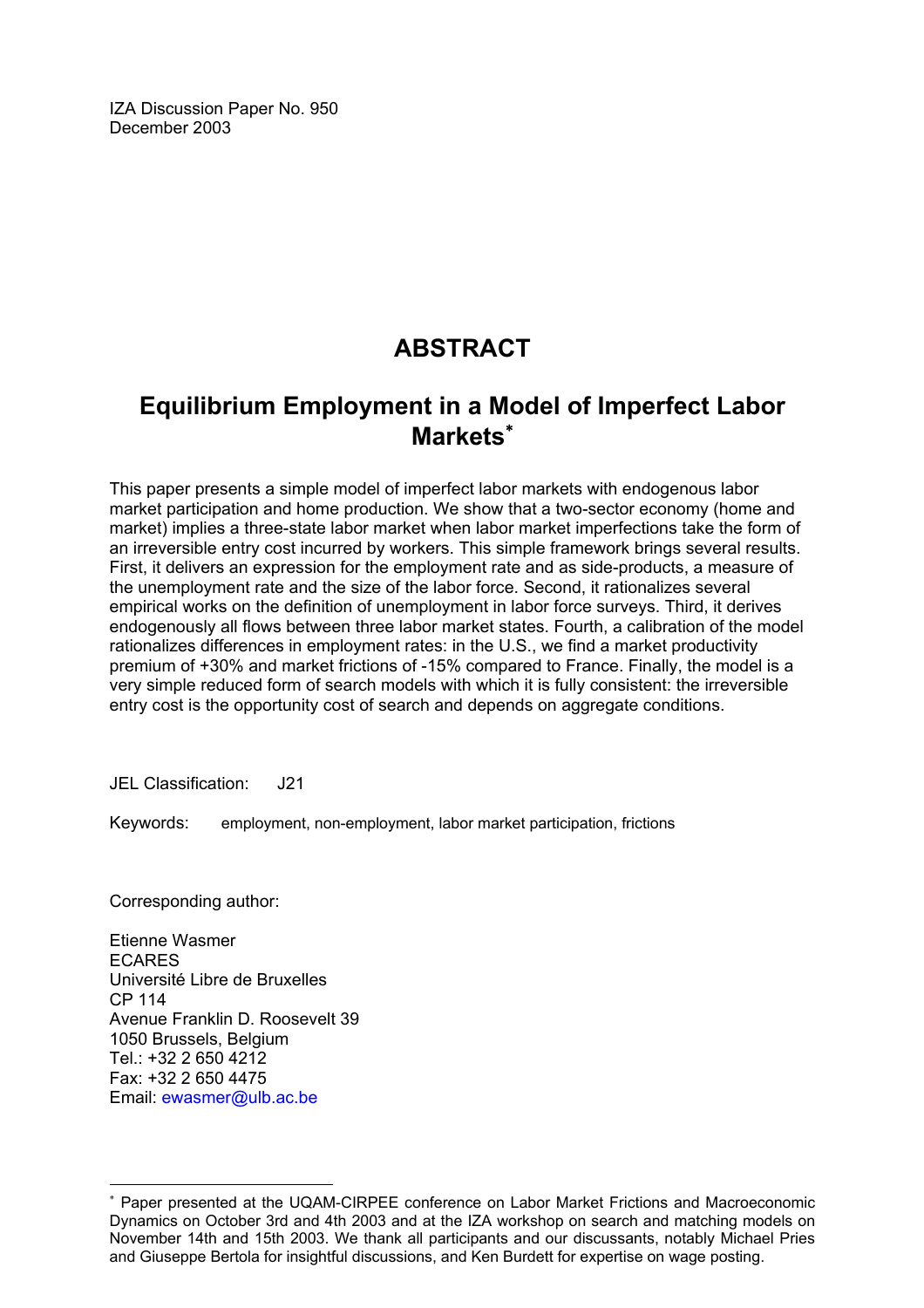IZA Discussion Paper No. 950 December 2003

## **ABSTRACT**

## **Equilibrium Employment in a Model of Imperfect Labor Markets**[∗](#page-2-0)

This paper presents a simple model of imperfect labor markets with endogenous labor market participation and home production. We show that a two-sector economy (home and market) implies a three-state labor market when labor market imperfections take the form of an irreversible entry cost incurred by workers. This simple framework brings several results. First, it delivers an expression for the employment rate and as side-products, a measure of the unemployment rate and the size of the labor force. Second, it rationalizes several empirical works on the definition of unemployment in labor force surveys. Third, it derives endogenously all flows between three labor market states. Fourth, a calibration of the model rationalizes differences in employment rates: in the U.S., we find a market productivity premium of +30% and market frictions of -15% compared to France. Finally, the model is a very simple reduced form of search models with which it is fully consistent: the irreversible entry cost is the opportunity cost of search and depends on aggregate conditions.

JEL Classification: J21

Keywords: employment, non-employment, labor market participation, frictions

Corresponding author:

 $\overline{a}$ 

Etienne Wasmer ECARES Université Libre de Bruxelles CP 114 Avenue Franklin D. Roosevelt 39 1050 Brussels, Belgium Tel.: +32 2 650 4212 Fax: +32 2 650 4475 Email: [ewasmer@ulb.ac.be](mailto:ewasmer@ulb.ac.be)

<span id="page-2-0"></span><sup>∗</sup> Paper presented at the UQAM-CIRPEE conference on Labor Market Frictions and Macroeconomic Dynamics on October 3rd and 4th 2003 and at the IZA workshop on search and matching models on November 14th and 15th 2003. We thank all participants and our discussants, notably Michael Pries and Giuseppe Bertola for insightful discussions, and Ken Burdett for expertise on wage posting.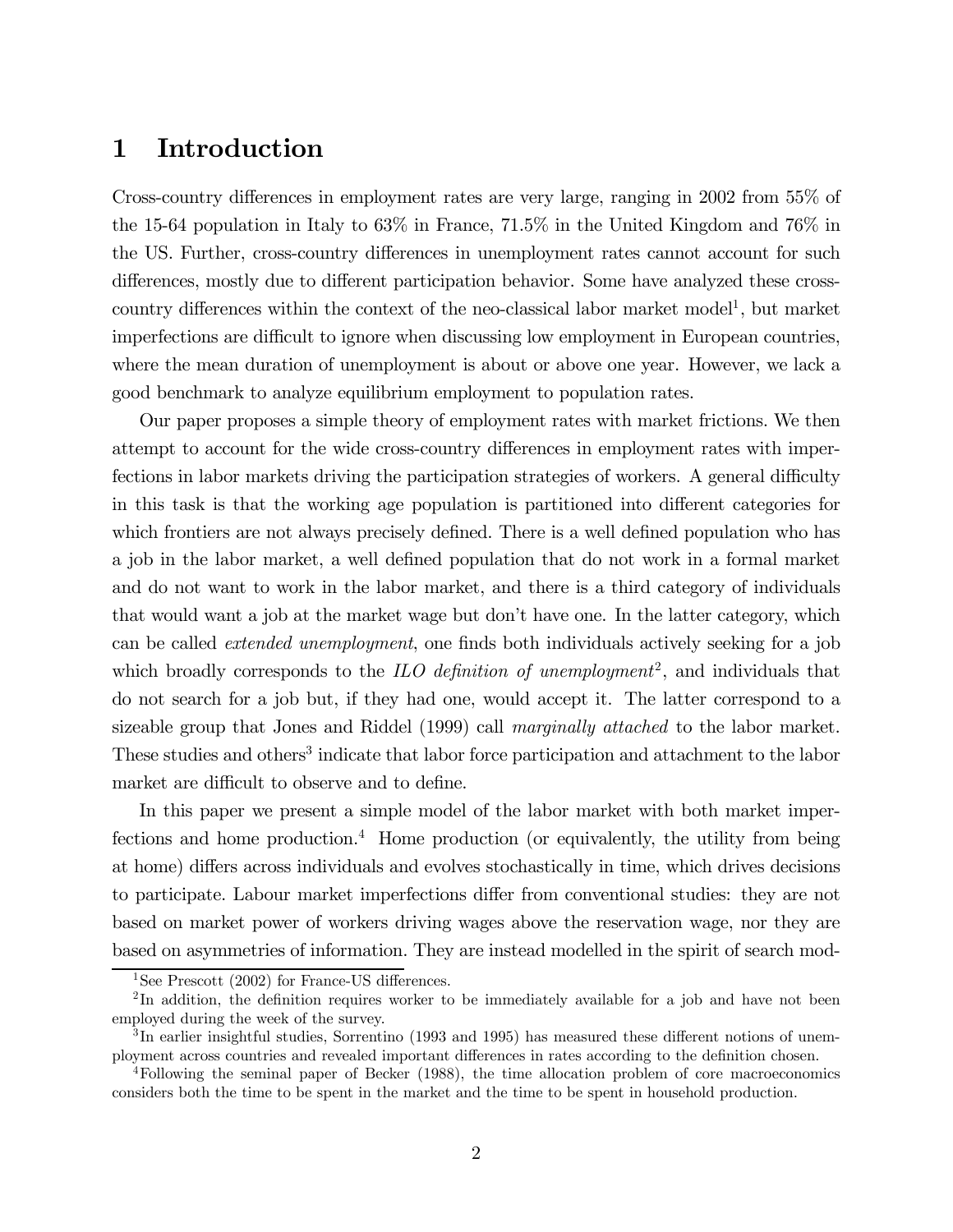## 1 Introduction

Cross-country differences in employment rates are very large, ranging in 2002 from 55% of the 15-64 population in Italy to 63% in France, 71.5% in the United Kingdom and 76% in the US. Further, cross-country differences in unemployment rates cannot account for such differences, mostly due to different participation behavior. Some have analyzed these crosscountry differences within the context of the neo-classical labor market model<sup>1</sup>, but market imperfections are difficult to ignore when discussing low employment in European countries, where the mean duration of unemployment is about or above one year. However, we lack a good benchmark to analyze equilibrium employment to population rates.

Our paper proposes a simple theory of employment rates with market frictions. We then attempt to account for the wide cross-country differences in employment rates with imperfections in labor markets driving the participation strategies of workers. A general difficulty in this task is that the working age population is partitioned into different categories for which frontiers are not always precisely defined. There is a well defined population who has a job in the labor market, a well defined population that do not work in a formal market and do not want to work in the labor market, and there is a third category of individuals that would want a job at the market wage but don't have one. In the latter category, which can be called extended unemployment, one finds both individuals actively seeking for a job which broadly corresponds to the ILO definition of unemployment<sup>2</sup>, and individuals that do not search for a job but, if they had one, would accept it. The latter correspond to a sizeable group that Jones and Riddel (1999) call marginally attached to the labor market. These studies and others<sup>3</sup> indicate that labor force participation and attachment to the labor market are difficult to observe and to define.

In this paper we present a simple model of the labor market with both market imperfections and home production.<sup>4</sup> Home production (or equivalently, the utility from being at home) differs across individuals and evolves stochastically in time, which drives decisions to participate. Labour market imperfections differ from conventional studies: they are not based on market power of workers driving wages above the reservation wage, nor they are based on asymmetries of information. They are instead modelled in the spirit of search mod-

<sup>&</sup>lt;sup>1</sup>See Prescott (2002) for France-US differences.

<sup>&</sup>lt;sup>2</sup>In addition, the definition requires worker to be immediately available for a job and have not been employed during the week of the survey.

<sup>3</sup> In earlier insightful studies, Sorrentino (1993 and 1995) has measured these different notions of unemployment across countries and revealed important differences in rates according to the definition chosen.

<sup>4</sup>Following the seminal paper of Becker (1988), the time allocation problem of core macroeconomics considers both the time to be spent in the market and the time to be spent in household production.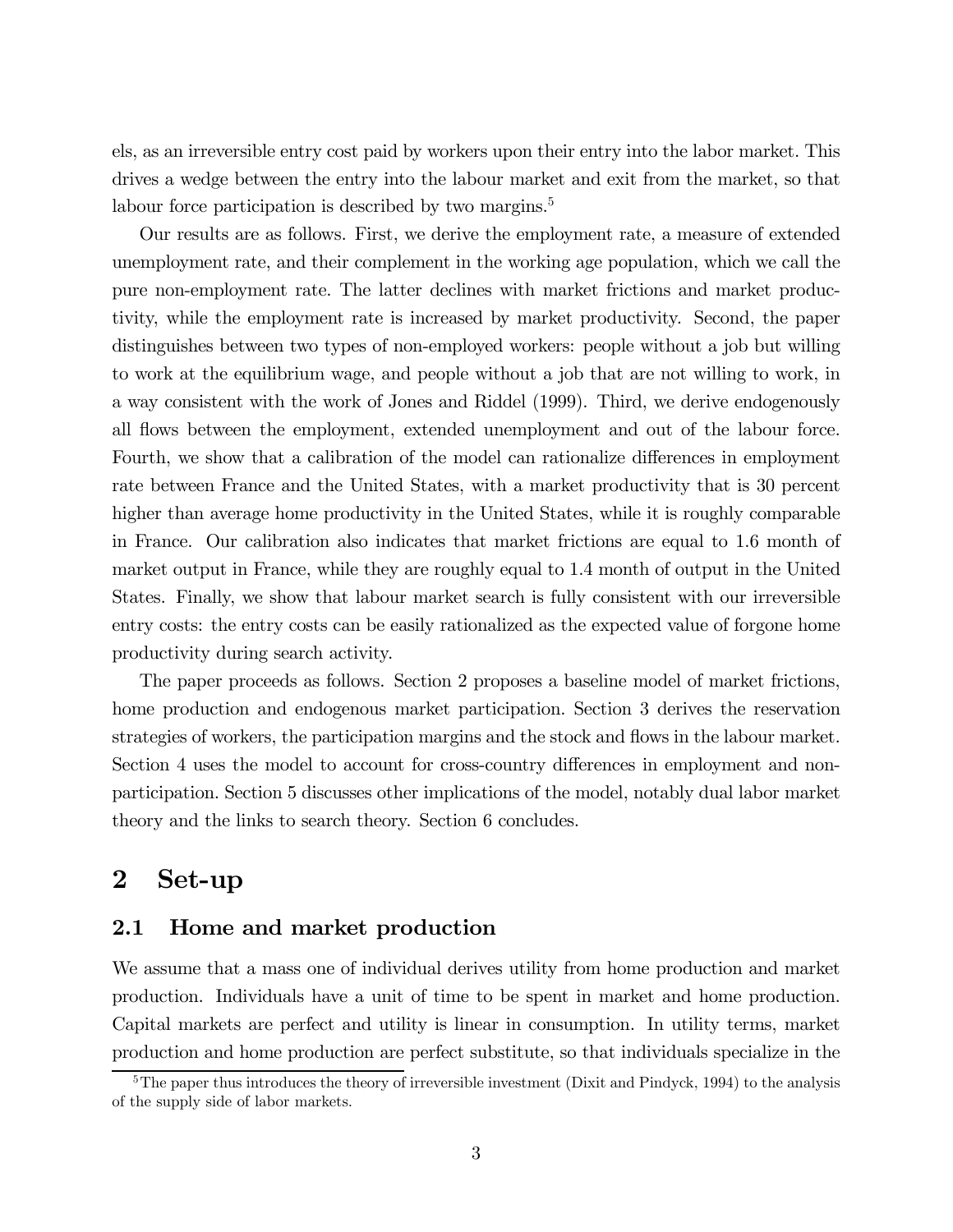els, as an irreversible entry cost paid by workers upon their entry into the labor market. This drives a wedge between the entry into the labour market and exit from the market, so that labour force participation is described by two margins.<sup>5</sup>

Our results are as follows. First, we derive the employment rate, a measure of extended unemployment rate, and their complement in the working age population, which we call the pure non-employment rate. The latter declines with market frictions and market productivity, while the employment rate is increased by market productivity. Second, the paper distinguishes between two types of non-employed workers: people without a job but willing to work at the equilibrium wage, and people without a job that are not willing to work, in a way consistent with the work of Jones and Riddel (1999). Third, we derive endogenously all flows between the employment, extended unemployment and out of the labour force. Fourth, we show that a calibration of the model can rationalize differences in employment rate between France and the United States, with a market productivity that is 30 percent higher than average home productivity in the United States, while it is roughly comparable in France. Our calibration also indicates that market frictions are equal to 1.6 month of market output in France, while they are roughly equal to 1.4 month of output in the United States. Finally, we show that labour market search is fully consistent with our irreversible entry costs: the entry costs can be easily rationalized as the expected value of forgone home productivity during search activity.

The paper proceeds as follows. Section 2 proposes a baseline model of market frictions, home production and endogenous market participation. Section 3 derives the reservation strategies of workers, the participation margins and the stock and flows in the labour market. Section 4 uses the model to account for cross-country differences in employment and nonparticipation. Section 5 discusses other implications of the model, notably dual labor market theory and the links to search theory. Section 6 concludes.

## 2 Set-up

## 2.1 Home and market production

We assume that a mass one of individual derives utility from home production and market production. Individuals have a unit of time to be spent in market and home production. Capital markets are perfect and utility is linear in consumption. In utility terms, market production and home production are perfect substitute, so that individuals specialize in the

 $5$ The paper thus introduces the theory of irreversible investment (Dixit and Pindyck, 1994) to the analysis of the supply side of labor markets.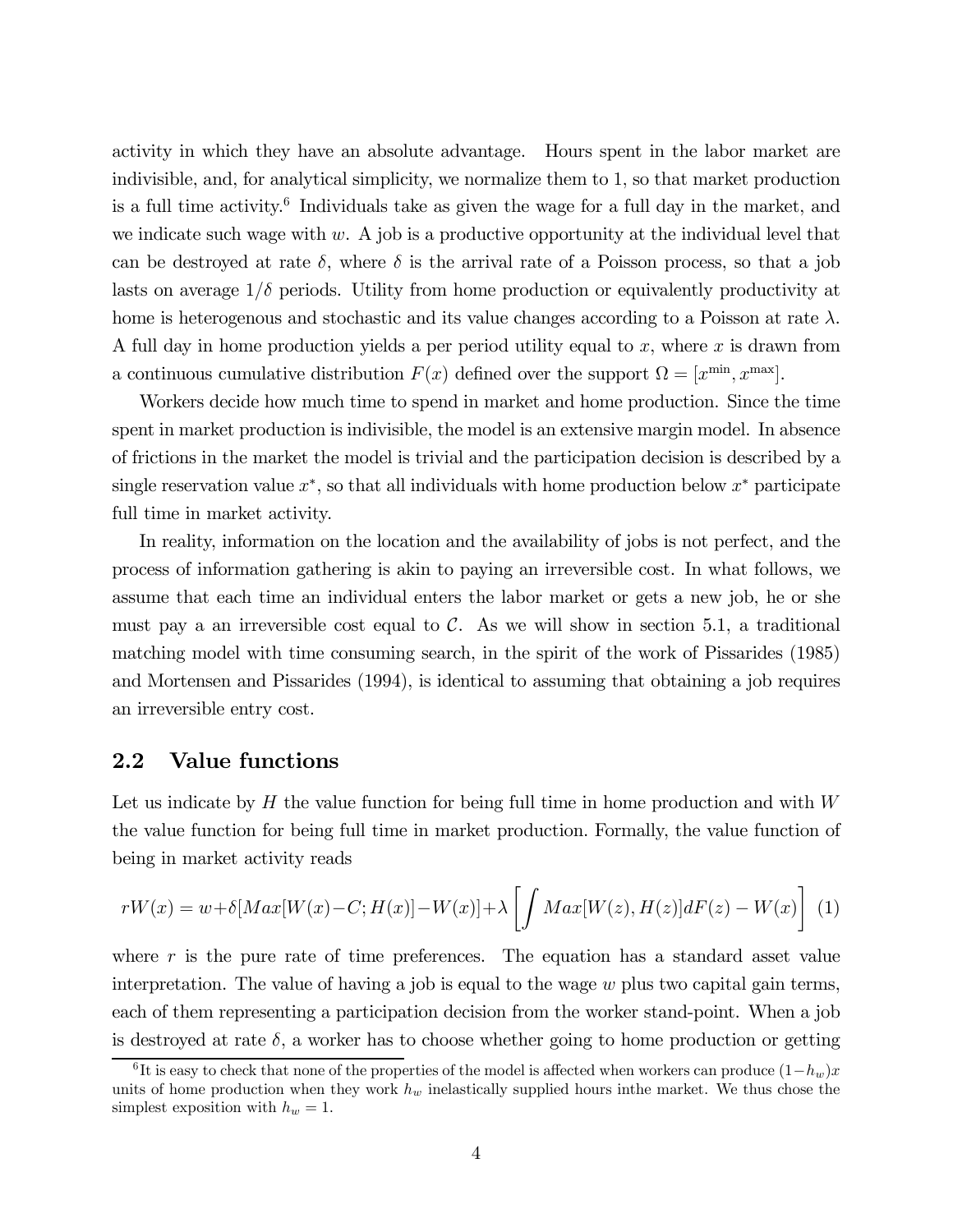activity in which they have an absolute advantage. Hours spent in the labor market are indivisible, and, for analytical simplicity, we normalize them to 1, so that market production is a full time activity.6 Individuals take as given the wage for a full day in the market, and we indicate such wage with  $w$ . A job is a productive opportunity at the individual level that can be destroyed at rate  $\delta$ , where  $\delta$  is the arrival rate of a Poisson process, so that a job lasts on average  $1/\delta$  periods. Utility from home production or equivalently productivity at home is heterogenous and stochastic and its value changes according to a Poisson at rate  $\lambda$ . A full day in home production yields a per period utility equal to  $x$ , where  $x$  is drawn from a continuous cumulative distribution  $F(x)$  defined over the support  $\Omega = [x^{\min}, x^{\max}]$ .

Workers decide how much time to spend in market and home production. Since the time spent in market production is indivisible, the model is an extensive margin model. In absence of frictions in the market the model is trivial and the participation decision is described by a single reservation value  $x^*$ , so that all individuals with home production below  $x^*$  participate full time in market activity.

In reality, information on the location and the availability of jobs is not perfect, and the process of information gathering is akin to paying an irreversible cost. In what follows, we assume that each time an individual enters the labor market or gets a new job, he or she must pay a an irreversible cost equal to  $\mathcal C$ . As we will show in section 5.1, a traditional matching model with time consuming search, in the spirit of the work of Pissarides (1985) and Mortensen and Pissarides (1994), is identical to assuming that obtaining a job requires an irreversible entry cost.

## 2.2 Value functions

Let us indicate by  $H$  the value function for being full time in home production and with  $W$ the value function for being full time in market production. Formally, the value function of being in market activity reads

$$
rW(x) = w + \delta[Max[W(x) - C; H(x)] - W(x)] + \lambda \left[\int Max[W(z), H(z)]dF(z) - W(x)\right] \tag{1}
$$

where  $r$  is the pure rate of time preferences. The equation has a standard asset value interpretation. The value of having a job is equal to the wage  $w$  plus two capital gain terms, each of them representing a participation decision from the worker stand-point. When a job is destroyed at rate  $\delta$ , a worker has to choose whether going to home production or getting

<sup>&</sup>lt;sup>6</sup>It is easy to check that none of the properties of the model is affected when workers can produce  $(1-h_w)x$ units of home production when they work  $h_w$  inelastically supplied hours in the market. We thus chose the simplest exposition with  $h_w = 1$ .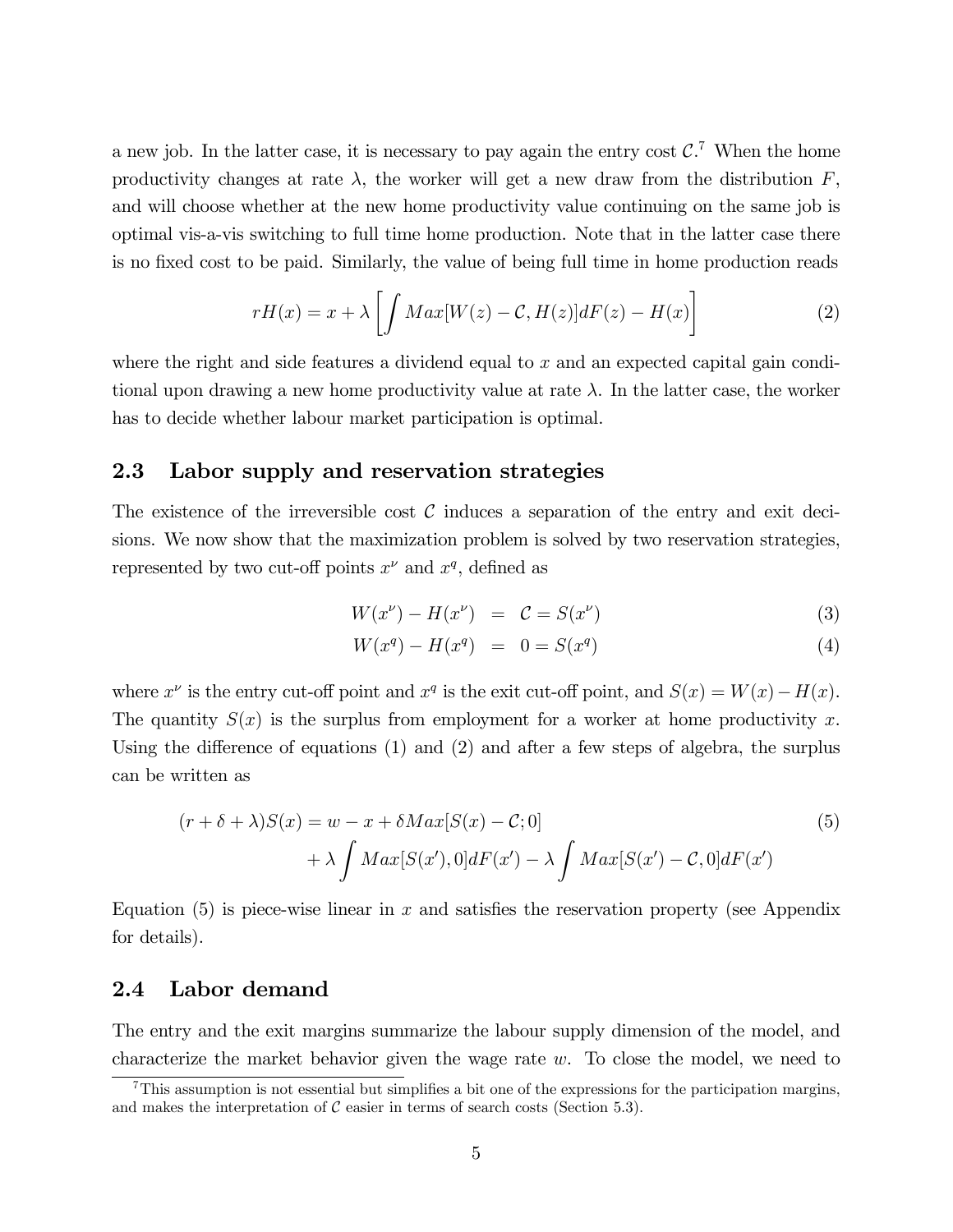a new job. In the latter case, it is necessary to pay again the entry cost  $C$ <sup>7</sup>. When the home productivity changes at rate  $\lambda$ , the worker will get a new draw from the distribution  $F$ , and will choose whether at the new home productivity value continuing on the same job is optimal vis-a-vis switching to full time home production. Note that in the latter case there is no fixed cost to be paid. Similarly, the value of being full time in home production reads

$$
rH(x) = x + \lambda \left[ \int Max[W(z) - C, H(z)]dF(z) - H(x) \right]
$$
 (2)

where the right and side features a dividend equal to x and an expected capital gain conditional upon drawing a new home productivity value at rate  $\lambda$ . In the latter case, the worker has to decide whether labour market participation is optimal.

## 2.3 Labor supply and reservation strategies

The existence of the irreversible cost  $\mathcal C$  induces a separation of the entry and exit decisions. We now show that the maximization problem is solved by two reservation strategies, represented by two cut-off points  $x^{\nu}$  and  $x^{\overline{q}}$ , defined as

$$
W(x^{\nu}) - H(x^{\nu}) = C = S(x^{\nu})
$$
\n(3)

$$
W(x^q) - H(x^q) = 0 = S(x^q)
$$
 (4)

where  $x^{\nu}$  is the entry cut-off point and  $x^q$  is the exit cut-off point, and  $S(x) = W(x) - H(x)$ . The quantity  $S(x)$  is the surplus from employment for a worker at home productivity x. Using the difference of equations (1) and (2) and after a few steps of algebra, the surplus can be written as

$$
(r + \delta + \lambda)S(x) = w - x + \delta Max[S(x) - C; 0]
$$
  
+  $\lambda \int Max[S(x'), 0]dF(x') - \lambda \int Max[S(x') - C, 0]dF(x')$  (5)

Equation (5) is piece-wise linear in x and satisfies the reservation property (see Appendix for details).

#### 2.4 Labor demand

The entry and the exit margins summarize the labour supply dimension of the model, and characterize the market behavior given the wage rate  $w$ . To close the model, we need to

<sup>7</sup>This assumption is not essential but simplifies a bit one of the expressions for the participation margins, and makes the interpretation of  $\mathcal C$  easier in terms of search costs (Section 5.3).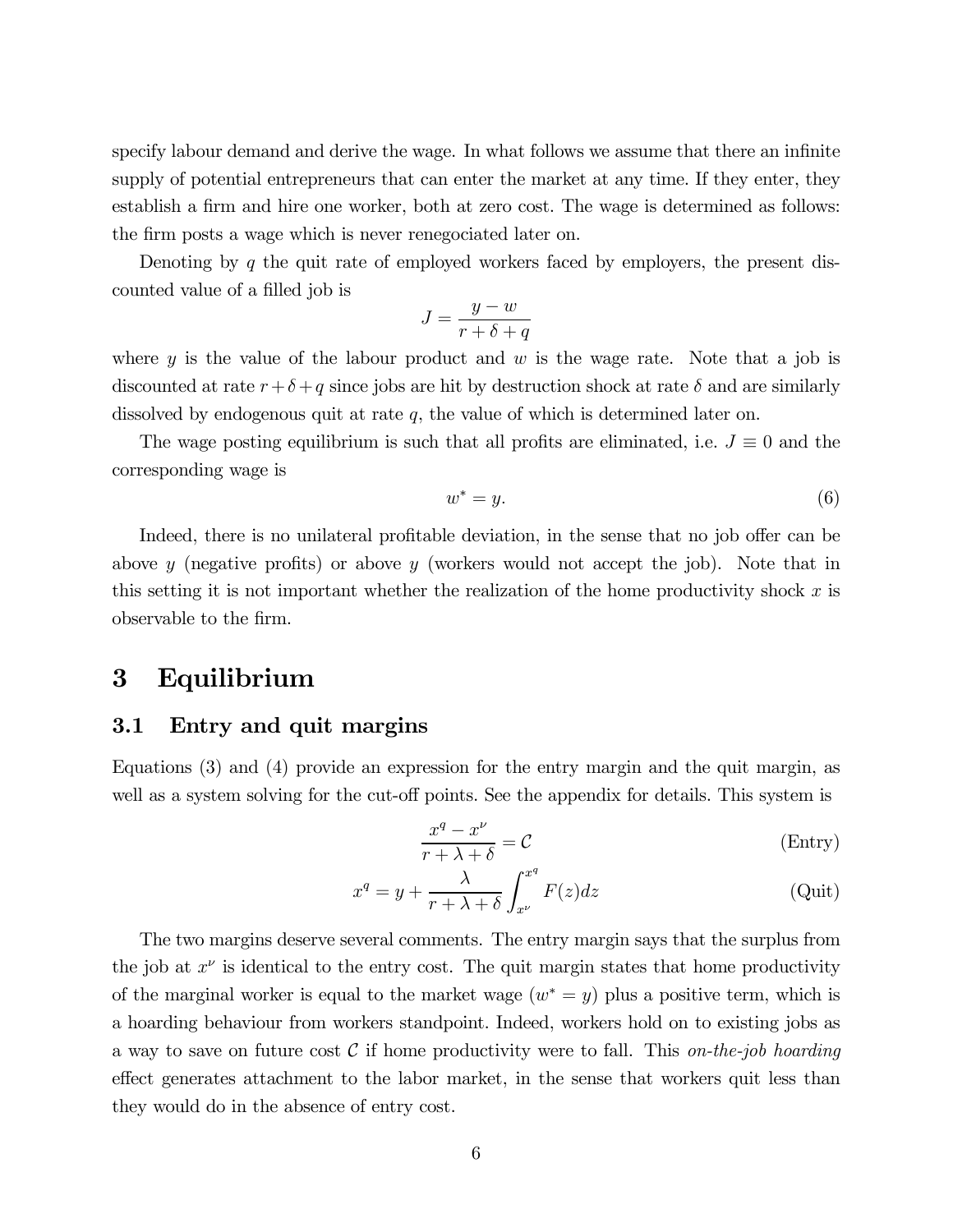specify labour demand and derive the wage. In what follows we assume that there an infinite supply of potential entrepreneurs that can enter the market at any time. If they enter, they establish a firm and hire one worker, both at zero cost. The wage is determined as follows: the firm posts a wage which is never renegociated later on.

Denoting by q the quit rate of employed workers faced by employers, the present discounted value of a filled job is

$$
J = \frac{y - w}{r + \delta + q}
$$

where  $y$  is the value of the labour product and  $w$  is the wage rate. Note that a job is discounted at rate  $r+\delta+q$  since jobs are hit by destruction shock at rate  $\delta$  and are similarly dissolved by endogenous quit at rate  $q$ , the value of which is determined later on.

The wage posting equilibrium is such that all profits are eliminated, i.e.  $J \equiv 0$  and the corresponding wage is

$$
w^* = y.\t\t(6)
$$

Indeed, there is no unilateral profitable deviation, in the sense that no job offer can be above y (negative profits) or above y (workers would not accept the job). Note that in this setting it is not important whether the realization of the home productivity shock  $x$  is observable to the firm.

## 3 Equilibrium

#### 3.1 Entry and quit margins

Equations (3) and (4) provide an expression for the entry margin and the quit margin, as well as a system solving for the cut-off points. See the appendix for details. This system is

$$
\frac{x^q - x^{\nu}}{r + \lambda + \delta} = \mathcal{C}
$$
 (Entry)

$$
x^{q} = y + \frac{\lambda}{r + \lambda + \delta} \int_{x^{\nu}}^{x^{q}} F(z) dz
$$
 (Quit)

The two margins deserve several comments. The entry margin says that the surplus from the job at  $x^{\nu}$  is identical to the entry cost. The quit margin states that home productivity of the marginal worker is equal to the market wage  $(w^* = y)$  plus a positive term, which is a hoarding behaviour from workers standpoint. Indeed, workers hold on to existing jobs as a way to save on future cost  $\mathcal C$  if home productivity were to fall. This on-the-job hoarding effect generates attachment to the labor market, in the sense that workers quit less than they would do in the absence of entry cost.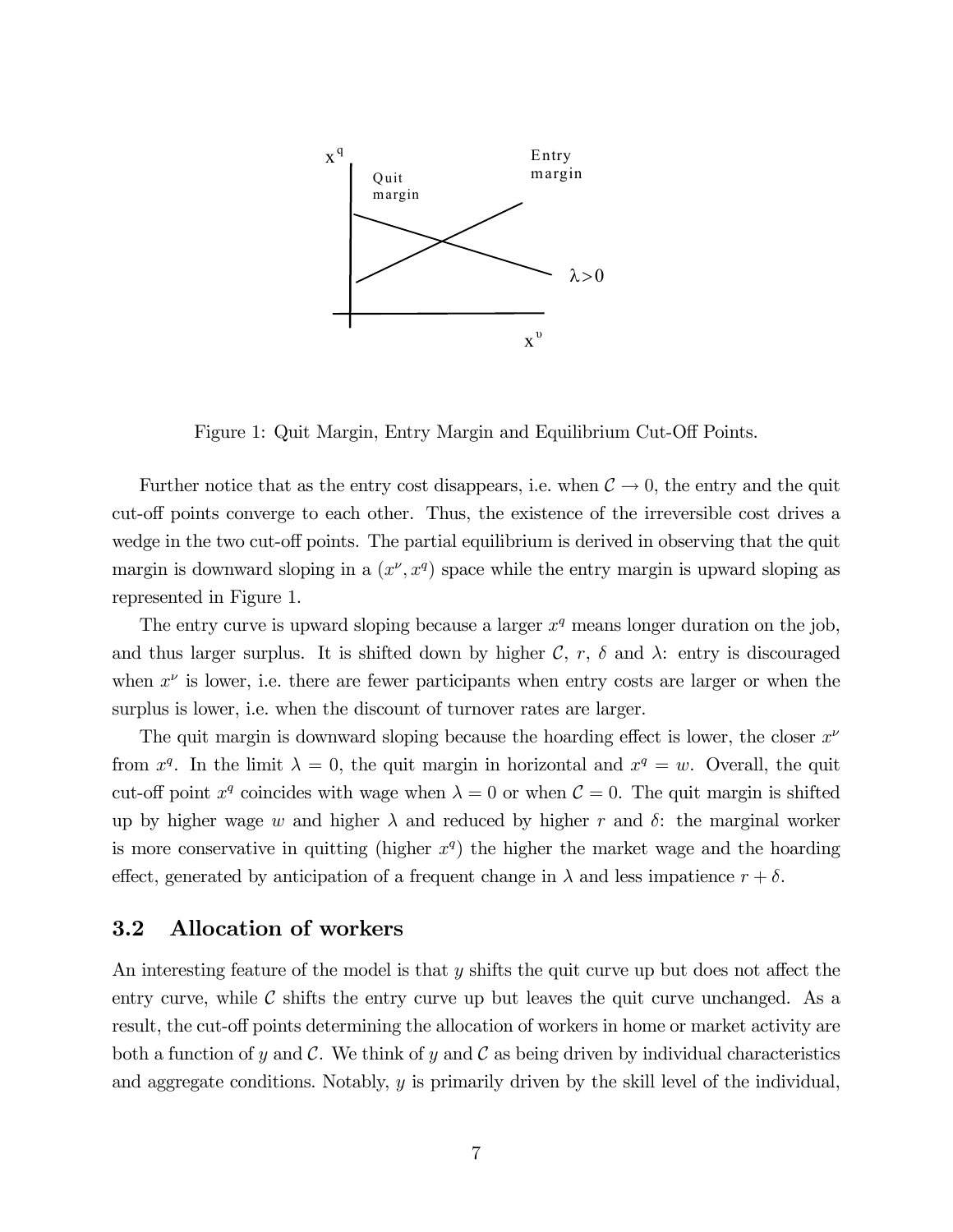

Figure 1: Quit Margin, Entry Margin and Equilibrium Cut-Off Points.

Further notice that as the entry cost disappears, i.e. when  $C \rightarrow 0$ , the entry and the quit cut-off points converge to each other. Thus, the existence of the irreversible cost drives a wedge in the two cut-off points. The partial equilibrium is derived in observing that the quit margin is downward sloping in a  $(x^{\nu}, x^q)$  space while the entry margin is upward sloping as represented in Figure 1.

The entry curve is upward sloping because a larger  $x<sup>q</sup>$  means longer duration on the job, and thus larger surplus. It is shifted down by higher  $\mathcal{C}$ ,  $r$ ,  $\delta$  and  $\lambda$ : entry is discouraged when  $x^{\nu}$  is lower, i.e. there are fewer participants when entry costs are larger or when the surplus is lower, i.e. when the discount of turnover rates are larger.

The quit margin is downward sloping because the hoarding effect is lower, the closer  $x^{\nu}$ from  $x^q$ . In the limit  $\lambda = 0$ , the quit margin in horizontal and  $x^q = w$ . Overall, the quit cut-off point  $x^q$  coincides with wage when  $\lambda = 0$  or when  $\mathcal{C} = 0$ . The quit margin is shifted up by higher wage w and higher  $\lambda$  and reduced by higher r and  $\delta$ : the marginal worker is more conservative in quitting (higher  $x<sup>q</sup>$ ) the higher the market wage and the hoarding effect, generated by anticipation of a frequent change in  $\lambda$  and less impatience  $r + \delta$ .

#### 3.2 Allocation of workers

An interesting feature of the model is that y shifts the quit curve up but does not affect the entry curve, while  $\mathcal C$  shifts the entry curve up but leaves the quit curve unchanged. As a result, the cut-off points determining the allocation of workers in home or market activity are both a function of y and C. We think of y and C as being driven by individual characteristics and aggregate conditions. Notably,  $y$  is primarily driven by the skill level of the individual,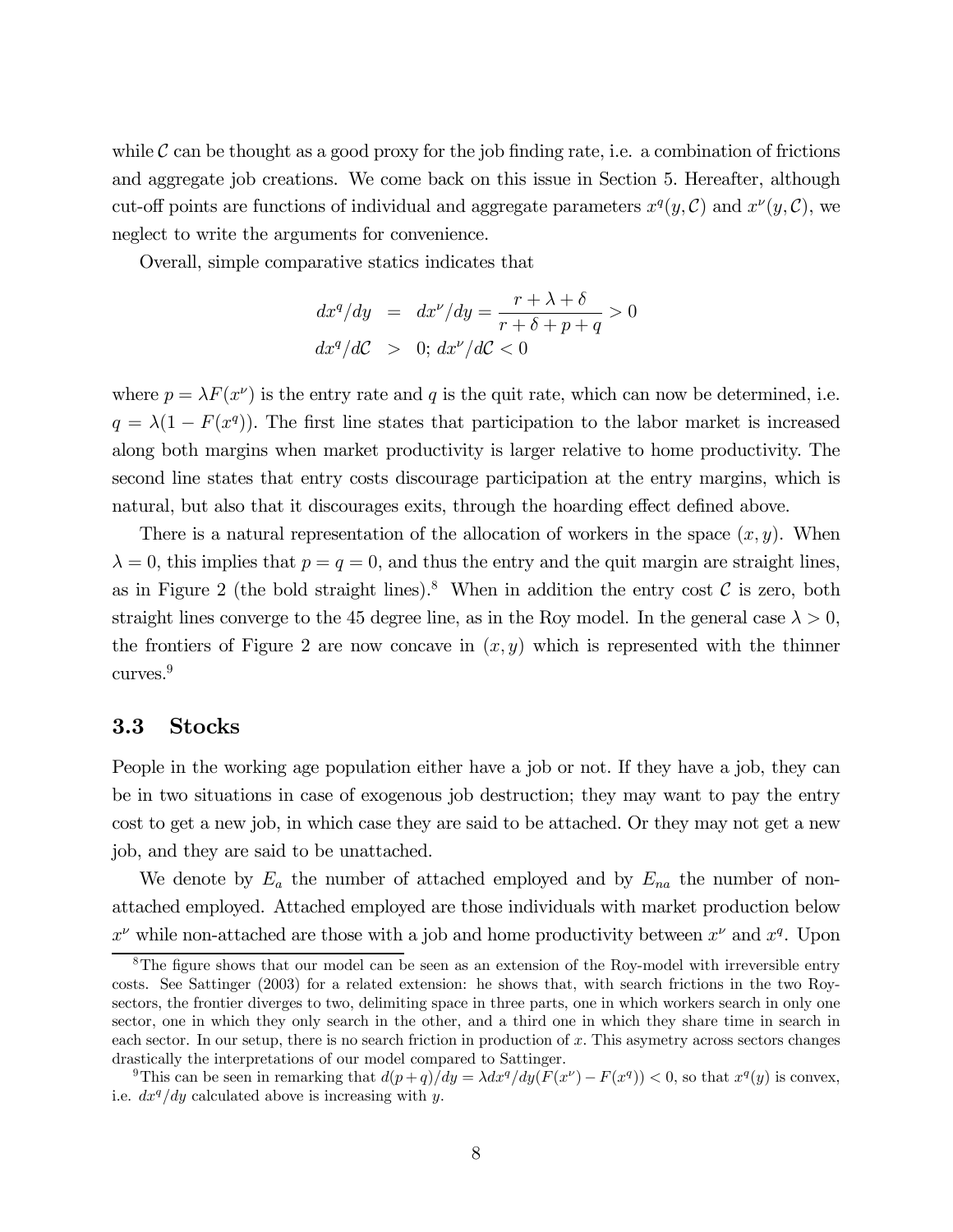while  $\mathcal C$  can be thought as a good proxy for the job finding rate, i.e. a combination of frictions and aggregate job creations. We come back on this issue in Section 5. Hereafter, although cut-off points are functions of individual and aggregate parameters  $x^q(y, \mathcal{C})$  and  $x^{\nu}(y, \mathcal{C})$ , we neglect to write the arguments for convenience.

Overall, simple comparative statics indicates that

$$
dx^{q}/dy = dx^{\nu}/dy = \frac{r + \lambda + \delta}{r + \delta + p + q} > 0
$$
  

$$
dx^{q}/dC > 0; dx^{\nu}/dC < 0
$$

where  $p = \lambda F(x^{\nu})$  is the entry rate and q is the quit rate, which can now be determined, i.e.  $q = \lambda(1 - F(x^{q}))$ . The first line states that participation to the labor market is increased along both margins when market productivity is larger relative to home productivity. The second line states that entry costs discourage participation at the entry margins, which is natural, but also that it discourages exits, through the hoarding effect defined above.

There is a natural representation of the allocation of workers in the space  $(x, y)$ . When  $\lambda = 0$ , this implies that  $p = q = 0$ , and thus the entry and the quit margin are straight lines, as in Figure 2 (the bold straight lines).<sup>8</sup> When in addition the entry cost  $\mathcal C$  is zero, both straight lines converge to the 45 degree line, as in the Roy model. In the general case  $\lambda > 0$ , the frontiers of Figure 2 are now concave in  $(x, y)$  which is represented with the thinner curves.<sup>9</sup>

#### 3.3 Stocks

People in the working age population either have a job or not. If they have a job, they can be in two situations in case of exogenous job destruction; they may want to pay the entry cost to get a new job, in which case they are said to be attached. Or they may not get a new job, and they are said to be unattached.

We denote by  $E_a$  the number of attached employed and by  $E_{na}$  the number of nonattached employed. Attached employed are those individuals with market production below  $x^{\nu}$  while non-attached are those with a job and home productivity between  $x^{\nu}$  and  $x^q$ . Upon

 $8$ The figure shows that our model can be seen as an extension of the Roy-model with irreversible entry costs. See Sattinger (2003) for a related extension: he shows that, with search frictions in the two Roysectors, the frontier diverges to two, delimiting space in three parts, one in which workers search in only one sector, one in which they only search in the other, and a third one in which they share time in search in each sector. In our setup, there is no search friction in production of x. This asymetry across sectors changes drastically the interpretations of our model compared to Sattinger.

<sup>&</sup>lt;sup>9</sup>This can be seen in remarking that  $d(p+q)/dy = \lambda dx^q/dy(F(x^{\nu}) - F(x^q)) < 0$ , so that  $x^q(y)$  is convex, i.e.  $dx^{q}/dy$  calculated above is increasing with y.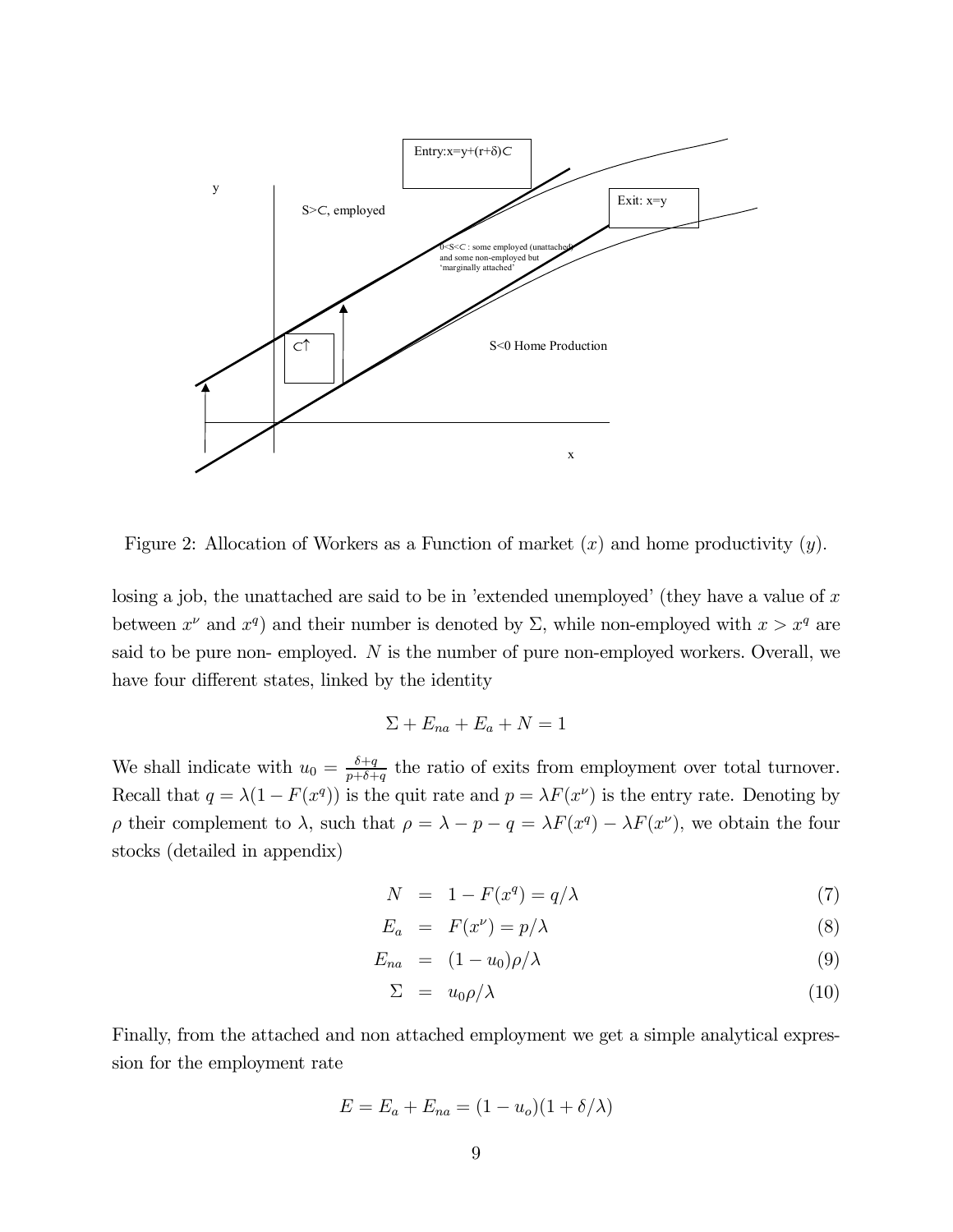

Figure 2: Allocation of Workers as a Function of market  $(x)$  and home productivity  $(y)$ .

losing a job, the unattached are said to be in 'extended unemployed' (they have a value of  $x$ between  $x^{\nu}$  and  $x^q$ ) and their number is denoted by  $\Sigma$ , while non-employed with  $x > x^q$  are said to be pure non- employed.  $N$  is the number of pure non-employed workers. Overall, we have four different states, linked by the identity

$$
\Sigma + E_{na} + E_a + N = 1
$$

We shall indicate with  $u_0 = \frac{\delta + q}{p + \delta + q}$  the ratio of exits from employment over total turnover. Recall that  $q = \lambda(1 - F(x^q))$  is the quit rate and  $p = \lambda F(x^{\nu})$  is the entry rate. Denoting by ρ their complement to λ, such that  $ρ = λ - p - q = λF(x<sup>q</sup>) - λF(x<sup>ν</sup>)$ , we obtain the four stocks (detailed in appendix)

$$
N = 1 - F(x^q) = q/\lambda \tag{7}
$$

$$
E_a = F(x^{\nu}) = p/\lambda \tag{8}
$$

$$
E_{na} = (1 - u_0)\rho/\lambda \tag{9}
$$

$$
\Sigma = u_0 \rho / \lambda \tag{10}
$$

Finally, from the attached and non attached employment we get a simple analytical expression for the employment rate

$$
E = E_a + E_{na} = (1 - u_o)(1 + \delta/\lambda)
$$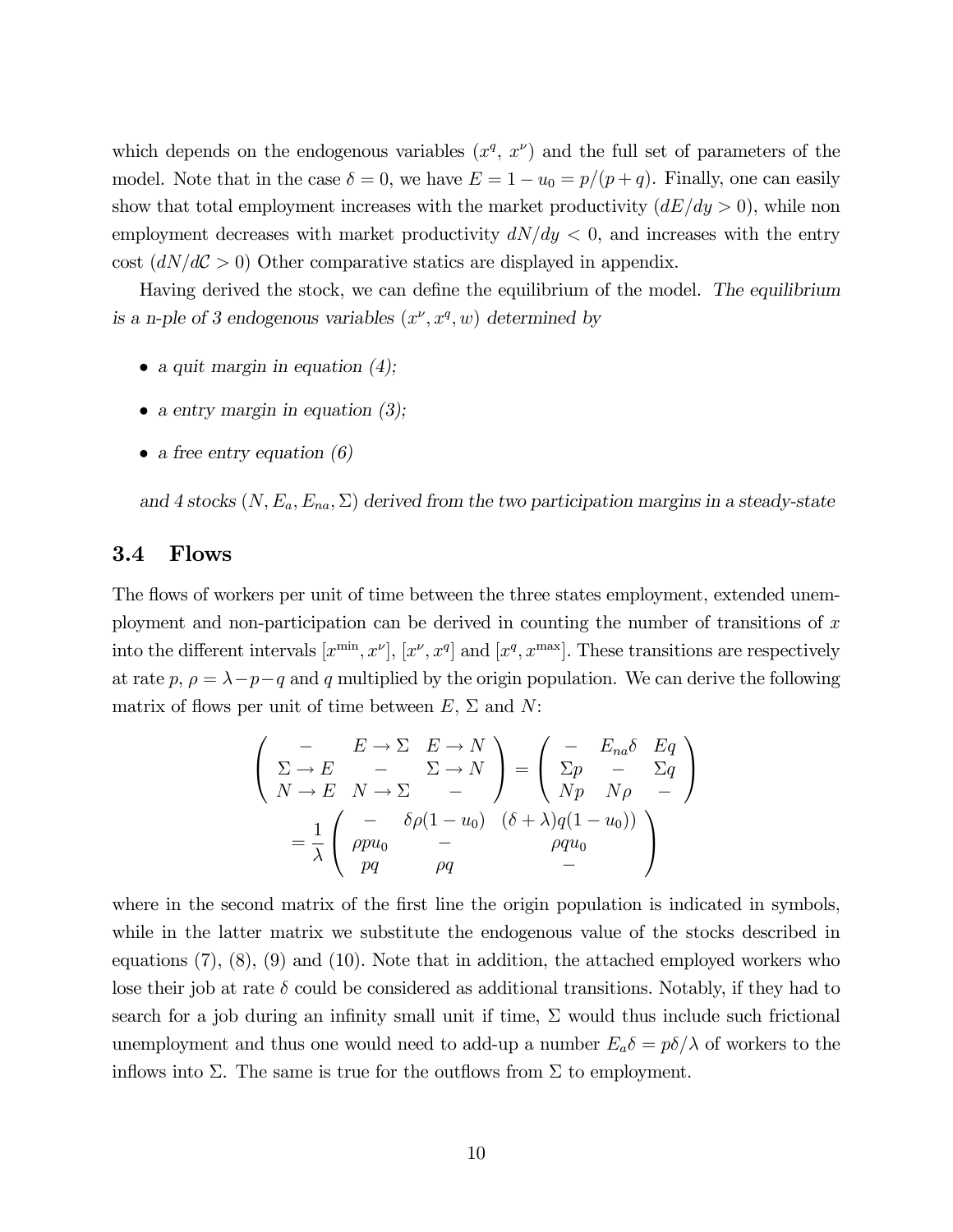which depends on the endogenous variables  $(x^q, x^{\nu})$  and the full set of parameters of the model. Note that in the case  $\delta = 0$ , we have  $E = 1 - u_0 = p/(p+q)$ . Finally, one can easily show that total employment increases with the market productivity  $(dE/dy > 0)$ , while non employment decreases with market productivity  $dN/dy < 0$ , and increases with the entry cost  $\left(\frac{dN}{d\mathcal{C}} > 0\right)$  Other comparative statics are displayed in appendix.

Having derived the stock, we can define the equilibrium of the model. The equilibrium is a n-ple of 3 endogenous variables  $(x^{\nu}, x^{\nu}, w)$  determined by

- a quit margin in equation  $(4)$ ;
- a entry margin in equation  $(3)$ ;
- a free entry equation  $(6)$

and 4 stocks  $(N, E_a, E_{na}, \Sigma)$  derived from the two participation margins in a steady-state

#### 3.4 Flows

The flows of workers per unit of time between the three states employment, extended unemployment and non-participation can be derived in counting the number of transitions of  $x$ into the different intervals  $[x^{\min}, x^{\nu}]$ ,  $[x^{\nu}, x^q]$  and  $[x^q, x^{\max}]$ . These transitions are respectively at rate  $p, \rho = \lambda - p - q$  and q multiplied by the origin population. We can derive the following matrix of flows per unit of time between  $E, \Sigma$  and  $N$ :

$$
\begin{pmatrix}\n- & E \to \Sigma & E \to N \\
\Sigma \to E & - & \Sigma \to N \\
N \to E & N \to \Sigma & -\n\end{pmatrix} = \begin{pmatrix}\n- & E_{na}\delta & Eq \\
\Sigma p & - & \Sigma q \\
Np & N\rho & -\n\end{pmatrix}
$$
\n
$$
= \frac{1}{\lambda} \begin{pmatrix}\n- & \delta \rho (1 - u_0) & (\delta + \lambda) q (1 - u_0) \\
pq & - & \rho qu_0 \\
pq & \rho q & -\n\end{pmatrix}
$$

where in the second matrix of the first line the origin population is indicated in symbols, while in the latter matrix we substitute the endogenous value of the stocks described in equations  $(7)$ ,  $(8)$ ,  $(9)$  and  $(10)$ . Note that in addition, the attached employed workers who lose their job at rate  $\delta$  could be considered as additional transitions. Notably, if they had to search for a job during an infinity small unit if time,  $\Sigma$  would thus include such frictional unemployment and thus one would need to add-up a number  $E_a \delta = p \delta / \lambda$  of workers to the inflows into  $\Sigma$ . The same is true for the outflows from  $\Sigma$  to employment.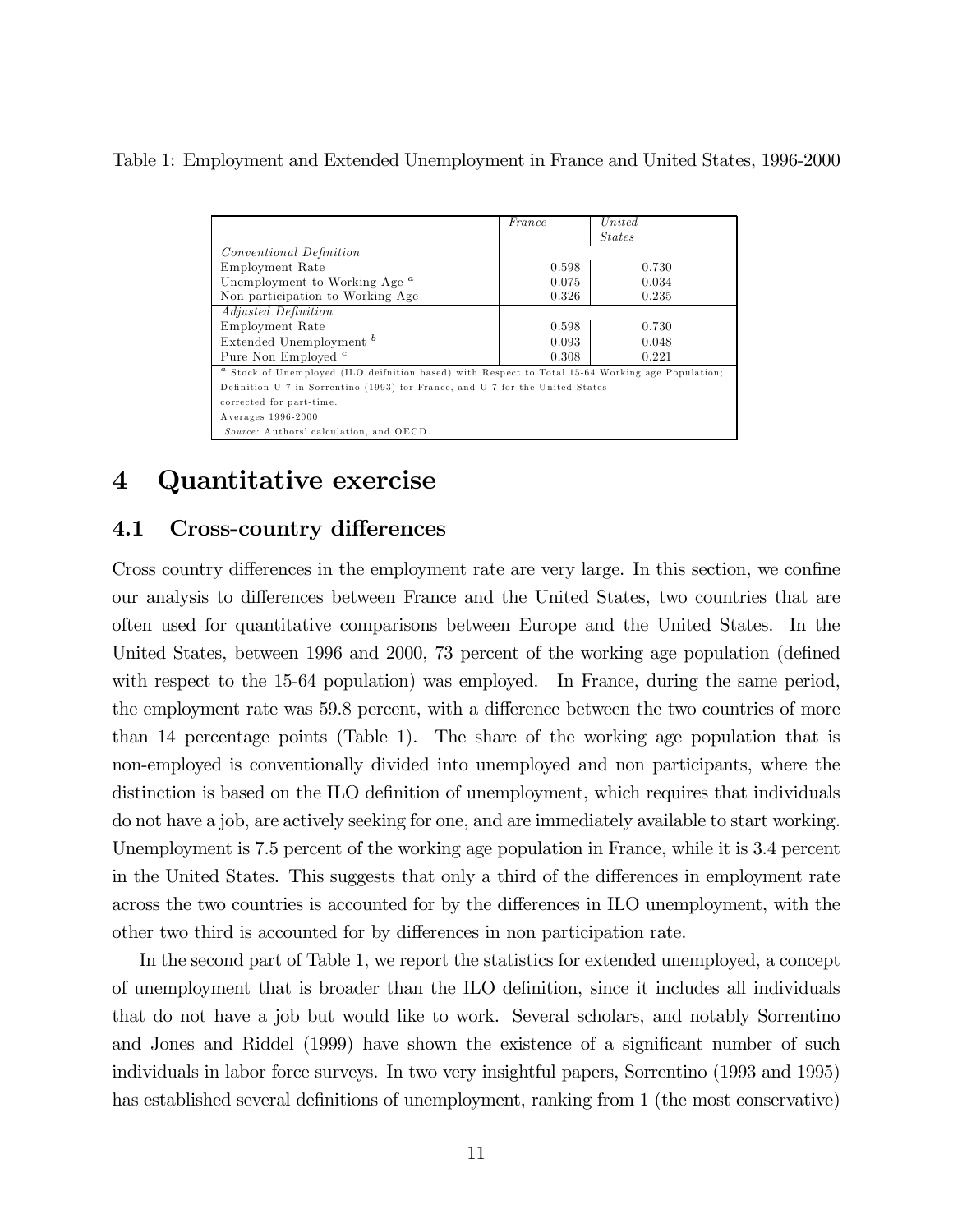Table 1: Employment and Extended Unemployment in France and United States, 1996-2000

|                                                                                                             | France | United        |  |  |  |
|-------------------------------------------------------------------------------------------------------------|--------|---------------|--|--|--|
|                                                                                                             |        | <b>States</b> |  |  |  |
| <i>Conventional Definition</i>                                                                              |        |               |  |  |  |
| Employment Rate                                                                                             | 0.598  | 0.730         |  |  |  |
| Unemployment to Working Age <sup>a</sup>                                                                    | 0.075  | 0.034         |  |  |  |
| Non participation to Working Age                                                                            | 0.326  | 0.235         |  |  |  |
| <i>Adjusted Definition</i>                                                                                  |        |               |  |  |  |
| Employment Rate                                                                                             | 0.598  | 0.730         |  |  |  |
| Extended Unemployment <sup>b</sup>                                                                          | 0.093  | 0.048         |  |  |  |
| Pure Non Employed <sup>c</sup>                                                                              | 0.308  | 0.221         |  |  |  |
| <sup>a</sup> Stock of Unemployed (ILO deifnition based) with Respect to Total 15-64 Working age Population; |        |               |  |  |  |
| Definition U-7 in Sorrentino (1993) for France, and U-7 for the United States                               |        |               |  |  |  |
| corrected for part-time.                                                                                    |        |               |  |  |  |
| Averages 1996-2000                                                                                          |        |               |  |  |  |
| Source: Authors' calculation, and OECD.                                                                     |        |               |  |  |  |

## 4 Quantitative exercise

## 4.1 Cross-country differences

Cross country differences in the employment rate are very large. In this section, we confine our analysis to differences between France and the United States, two countries that are often used for quantitative comparisons between Europe and the United States. In the United States, between 1996 and 2000, 73 percent of the working age population (defined with respect to the 15-64 population) was employed. In France, during the same period, the employment rate was 59.8 percent, with a difference between the two countries of more than 14 percentage points (Table 1). The share of the working age population that is non-employed is conventionally divided into unemployed and non participants, where the distinction is based on the ILO definition of unemployment, which requires that individuals do not have a job, are actively seeking for one, and are immediately available to start working. Unemployment is 7.5 percent of the working age population in France, while it is 3.4 percent in the United States. This suggests that only a third of the differences in employment rate across the two countries is accounted for by the differences in ILO unemployment, with the other two third is accounted for by differences in non participation rate.

In the second part of Table 1, we report the statistics for extended unemployed, a concept of unemployment that is broader than the ILO definition, since it includes all individuals that do not have a job but would like to work. Several scholars, and notably Sorrentino and Jones and Riddel (1999) have shown the existence of a significant number of such individuals in labor force surveys. In two very insightful papers, Sorrentino (1993 and 1995) has established several definitions of unemployment, ranking from 1 (the most conservative)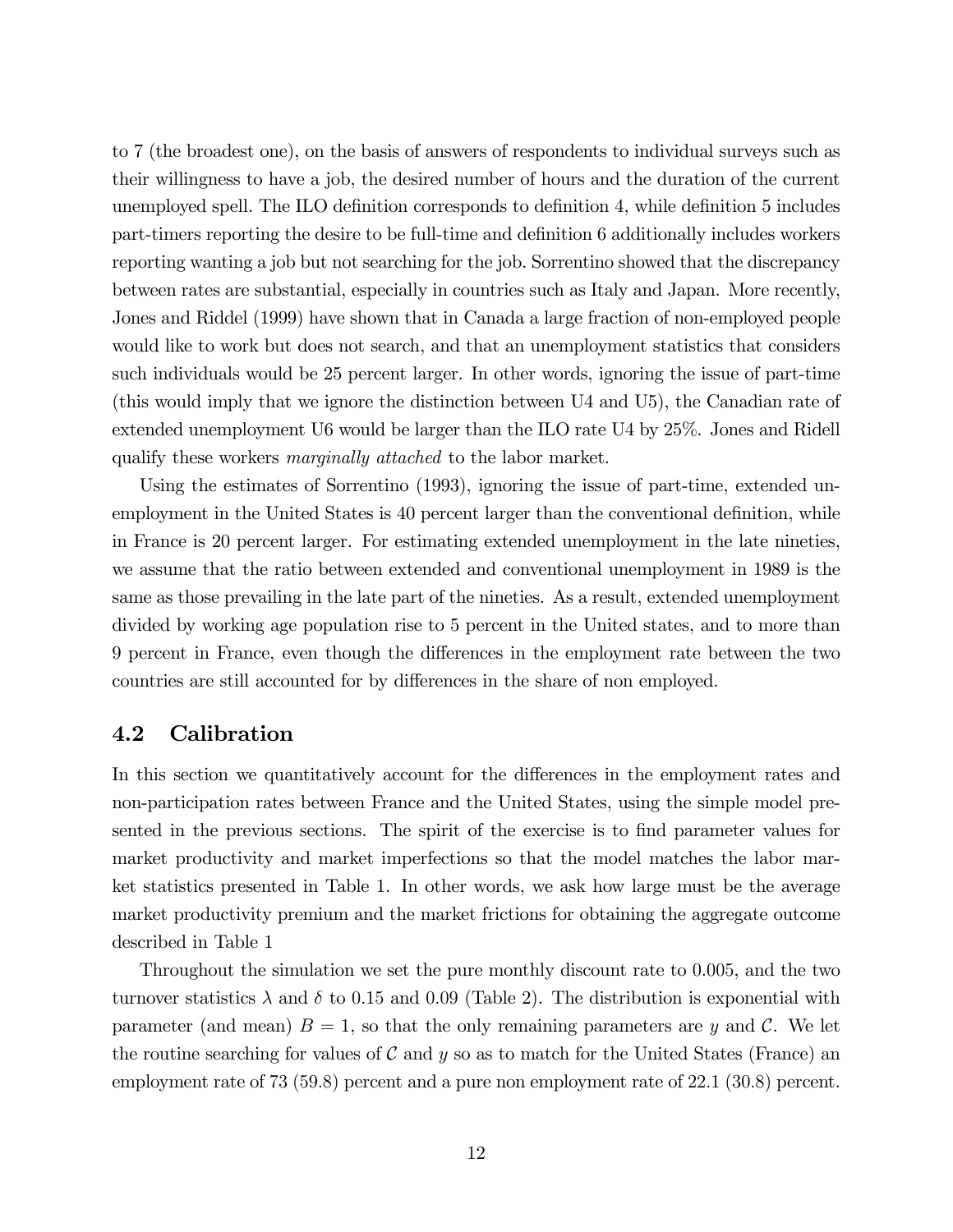to 7 (the broadest one), on the basis of answers of respondents to individual surveys such as their willingness to have a job, the desired number of hours and the duration of the current unemployed spell. The ILO definition corresponds to definition 4, while definition 5 includes part-timers reporting the desire to be full-time and definition 6 additionally includes workers reporting wanting a job but not searching for the job. Sorrentino showed that the discrepancy between rates are substantial, especially in countries such as Italy and Japan. More recently, Jones and Riddel (1999) have shown that in Canada a large fraction of non-employed people would like to work but does not search, and that an unemployment statistics that considers such individuals would be 25 percent larger. In other words, ignoring the issue of part-time (this would imply that we ignore the distinction between U4 and U5), the Canadian rate of extended unemployment U6 would be larger than the ILO rate U4 by 25%. Jones and Ridell qualify these workers marginally attached to the labor market.

Using the estimates of Sorrentino (1993), ignoring the issue of part-time, extended unemployment in the United States is 40 percent larger than the conventional definition, while in France is 20 percent larger. For estimating extended unemployment in the late nineties, we assume that the ratio between extended and conventional unemployment in 1989 is the same as those prevailing in the late part of the nineties. As a result, extended unemployment divided by working age population rise to 5 percent in the United states, and to more than 9 percent in France, even though the differences in the employment rate between the two countries are still accounted for by differences in the share of non employed.

#### 4.2 Calibration

In this section we quantitatively account for the differences in the employment rates and non-participation rates between France and the United States, using the simple model presented in the previous sections. The spirit of the exercise is to find parameter values for market productivity and market imperfections so that the model matches the labor market statistics presented in Table 1. In other words, we ask how large must be the average market productivity premium and the market frictions for obtaining the aggregate outcome described in Table 1

Throughout the simulation we set the pure monthly discount rate to 0.005, and the two turnover statistics  $\lambda$  and  $\delta$  to 0.15 and 0.09 (Table 2). The distribution is exponential with parameter (and mean)  $B = 1$ , so that the only remaining parameters are y and C. We let the routine searching for values of  $C$  and  $y$  so as to match for the United States (France) and employment rate of 73 (59.8) percent and a pure non employment rate of 22.1 (30.8) percent.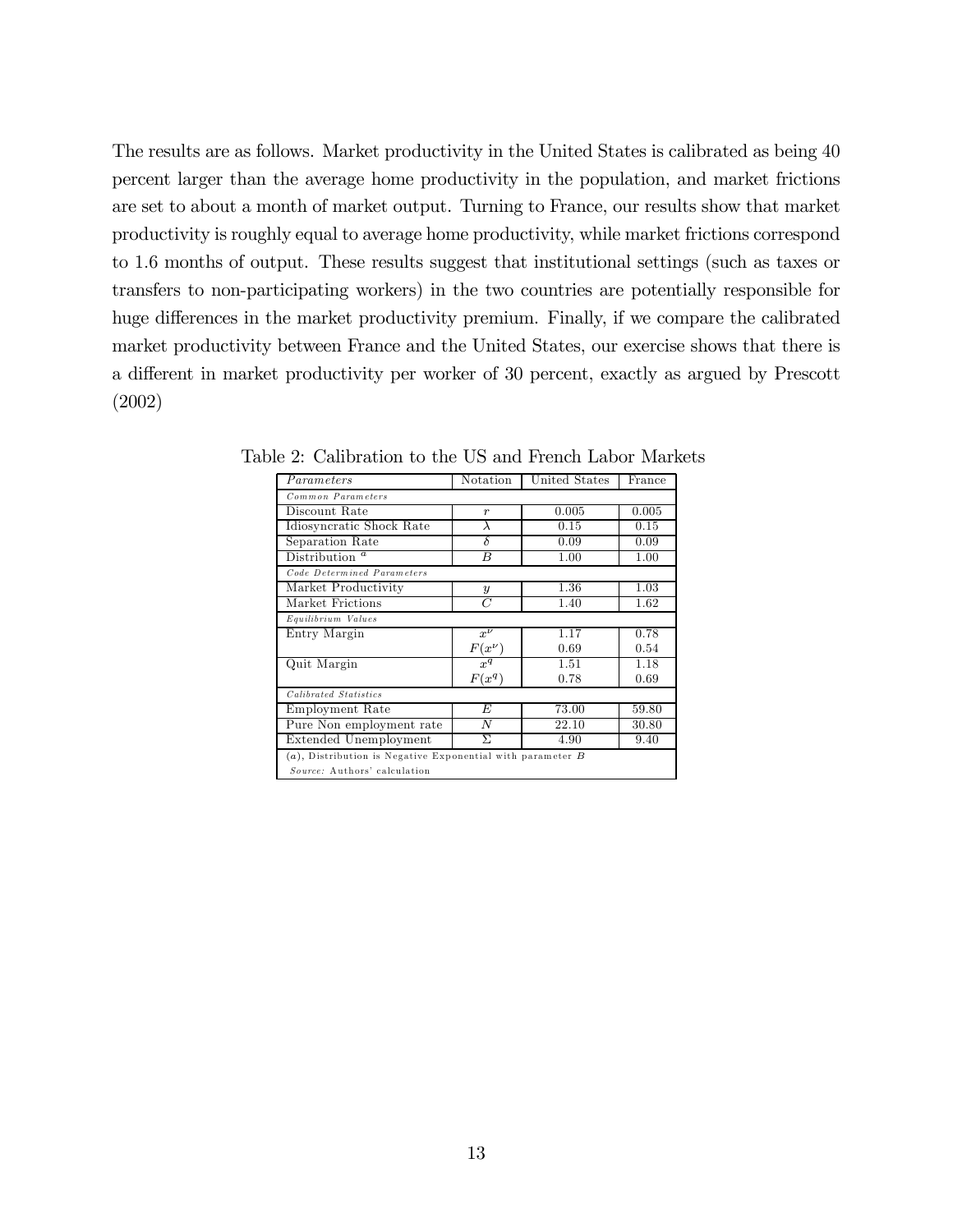The results are as follows. Market productivity in the United States is calibrated as being 40 percent larger than the average home productivity in the population, and market frictions are set to about a month of market output. Turning to France, our results show that market productivity is roughly equal to average home productivity, while market frictions correspond to 1.6 months of output. These results suggest that institutional settings (such as taxes or transfers to non-participating workers) in the two countries are potentially responsible for huge differences in the market productivity premium. Finally, if we compare the calibrated market productivity between France and the United States, our exercise shows that there is a different in market productivity per worker of 30 percent, exactly as argued by Prescott (2002)

| Parameters                                                                                      | Notation         | United States | $\rm France$ |  |  |
|-------------------------------------------------------------------------------------------------|------------------|---------------|--------------|--|--|
| Common Parameters                                                                               |                  |               |              |  |  |
| Discount Rate                                                                                   | $\boldsymbol{r}$ | 0.005         | 0.005        |  |  |
| Idiosyncratic Shock Rate                                                                        | λ                | 0.15          | 0.15         |  |  |
| Separation Rate                                                                                 | $\delta$         | 0.09          | 0.09         |  |  |
| Distribution $^a$                                                                               | B                | 1.00          | 1.00         |  |  |
| Code Determined Parameters                                                                      |                  |               |              |  |  |
| Market Productivity                                                                             | $\boldsymbol{y}$ | 1.36          | 1.03         |  |  |
| Market Frictions                                                                                | C                | 1.40          | 1.62         |  |  |
| Equilibrium Values                                                                              |                  |               |              |  |  |
| Entry Margin                                                                                    | $x^{\nu}$        | 1.17          | 0.78         |  |  |
|                                                                                                 | $F(x^{\nu})$     | 0.69          | 0.54         |  |  |
| Quit Margin                                                                                     | $x^q$            | 1.51          | 1.18         |  |  |
|                                                                                                 | $F(x^q)$         | 0.78          | 0.69         |  |  |
| Calibrated Statistics                                                                           |                  |               |              |  |  |
| Employment Rate                                                                                 | E                | 73.00         | 59.80        |  |  |
| Pure Non employment rate                                                                        | N                | 22.10         | 30.80        |  |  |
| Extended Unemployment                                                                           | $\Sigma$         | 4.90          | 9.40         |  |  |
| $(a)$ , Distribution is Negative Exponential with parameter $B$<br>Source: Authors' calculation |                  |               |              |  |  |
|                                                                                                 |                  |               |              |  |  |

Table 2: Calibration to the US and French Labor Markets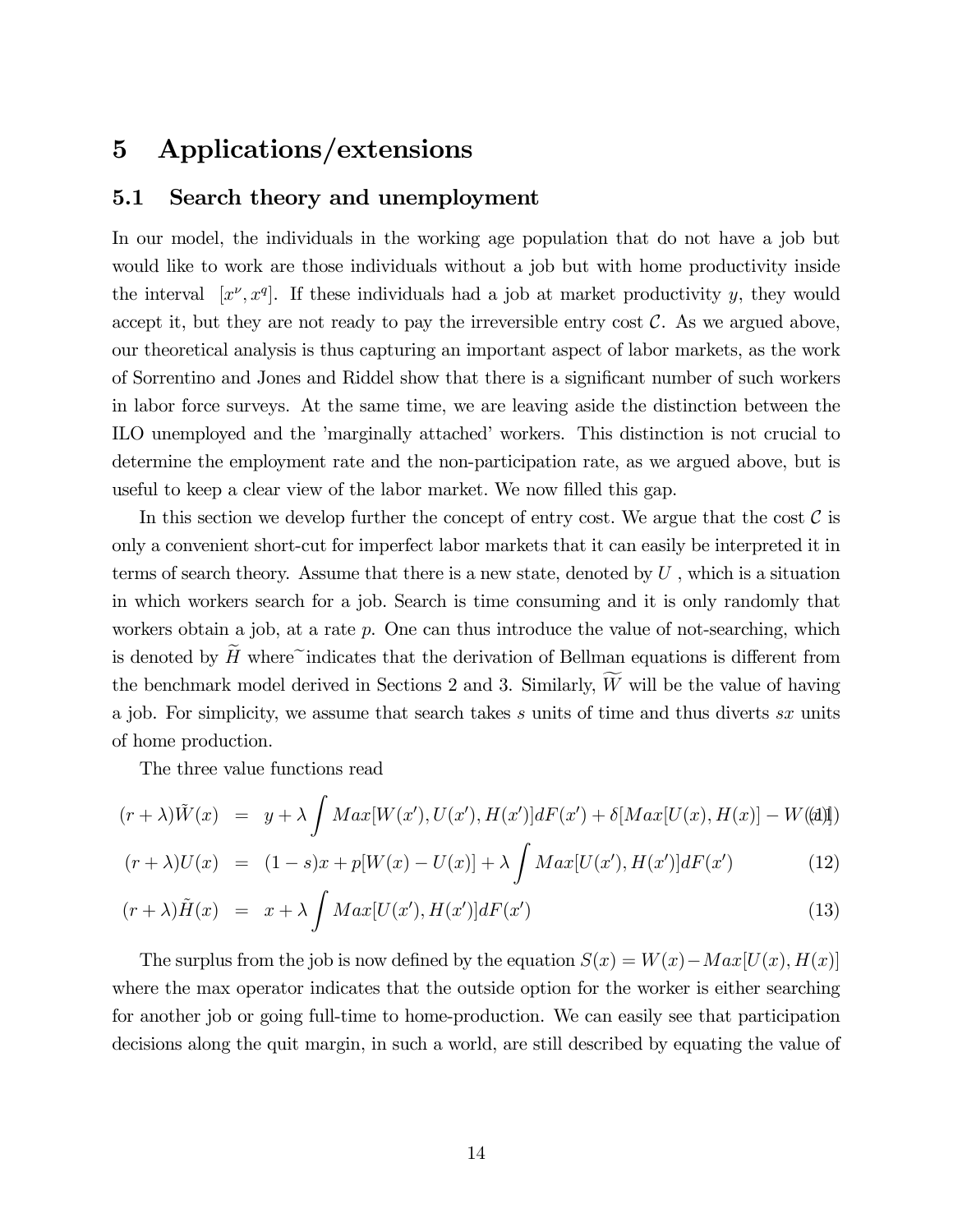## 5 Applications/extensions

#### 5.1 Search theory and unemployment

In our model, the individuals in the working age population that do not have a job but would like to work are those individuals without a job but with home productivity inside the interval  $[x^{\nu}, x^{\nu}]$ . If these individuals had a job at market productivity y, they would accept it, but they are not ready to pay the irreversible entry cost  $\mathcal{C}$ . As we argued above, our theoretical analysis is thus capturing an important aspect of labor markets, as the work of Sorrentino and Jones and Riddel show that there is a significant number of such workers in labor force surveys. At the same time, we are leaving aside the distinction between the ILO unemployed and the 'marginally attached' workers. This distinction is not crucial to determine the employment rate and the non-participation rate, as we argued above, but is useful to keep a clear view of the labor market. We now filled this gap.

In this section we develop further the concept of entry cost. We argue that the cost  $\mathcal C$  is only a convenient short-cut for imperfect labor markets that it can easily be interpreted it in terms of search theory. Assume that there is a new state, denoted by  $U$ , which is a situation in which workers search for a job. Search is time consuming and it is only randomly that workers obtain a job, at a rate p. One can thus introduce the value of not-searching, which is denoted by  $H$  where  $\tilde{\ }$  indicates that the derivation of Bellman equations is different from the benchmark model derived in Sections 2 and 3. Similarly,  $W$  will be the value of having a job. For simplicity, we assume that search takes s units of time and thus diverts sx units of home production.

The three value functions read

$$
(r+\lambda)\tilde{W}(x) = y + \lambda \int Max[W(x'), U(x'), H(x')] dF(x') + \delta[Max[U(x), H(x)] - W(\text{d})]
$$

$$
(r + \lambda)U(x) = (1 - s)x + p[W(x) - U(x)] + \lambda \int Max[U(x'), H(x')]dF(x')
$$
 (12)

$$
(r + \lambda)\tilde{H}(x) = x + \lambda \int Max[U(x'), H(x')] dF(x')
$$
\n(13)

The surplus from the job is now defined by the equation  $S(x) = W(x) - Max[U(x), H(x)]$ where the max operator indicates that the outside option for the worker is either searching for another job or going full-time to home-production. We can easily see that participation decisions along the quit margin, in such a world, are still described by equating the value of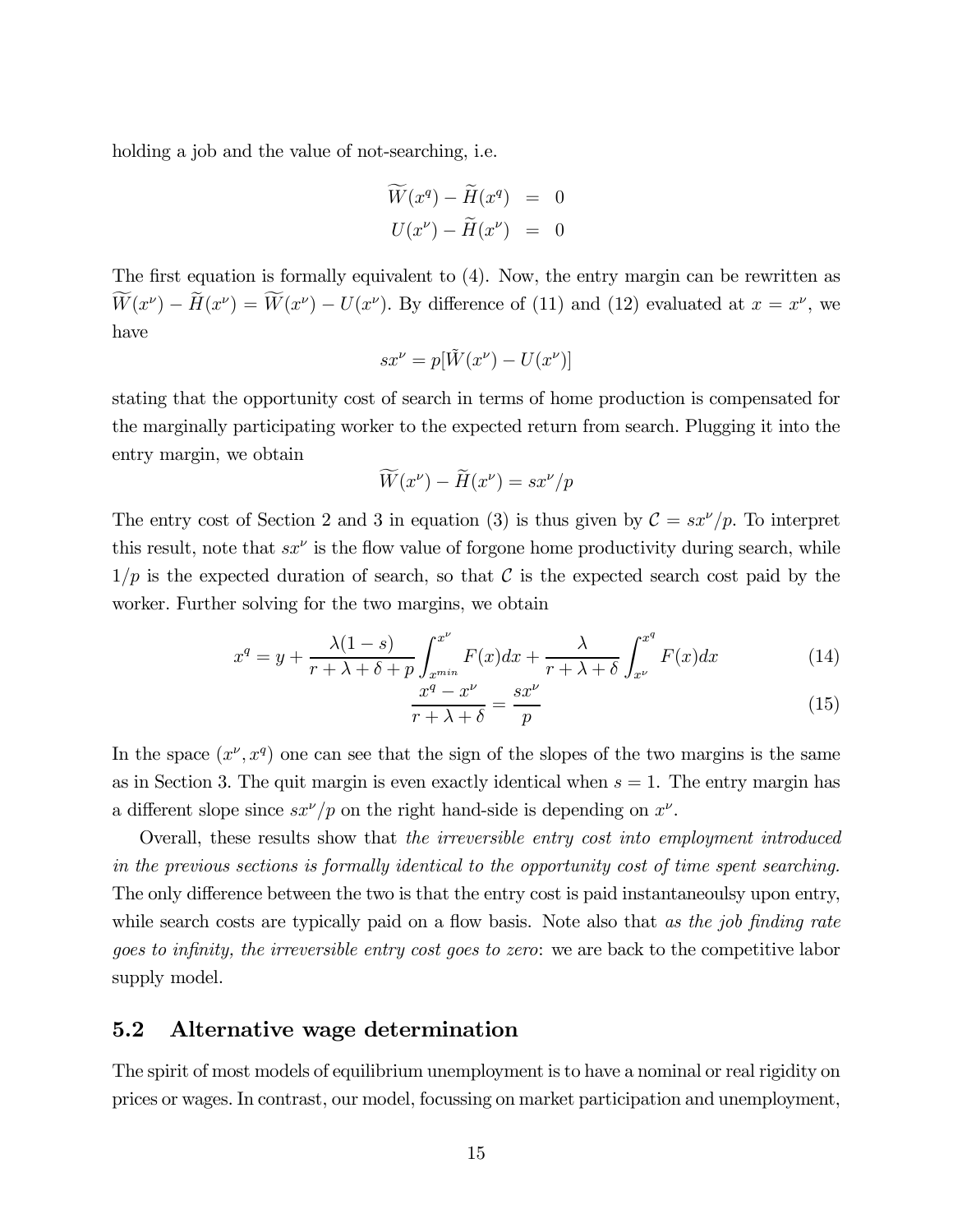holding a job and the value of not-searching, i.e.

$$
\widetilde{W}(x^q) - \widetilde{H}(x^q) = 0
$$
  

$$
U(x^{\nu}) - \widetilde{H}(x^{\nu}) = 0
$$

The first equation is formally equivalent to (4). Now, the entry margin can be rewritten as  $W(x^{\nu}) - H(x^{\nu}) = W(x^{\nu}) - U(x^{\nu})$ . By difference of (11) and (12) evaluated at  $x = x^{\nu}$ , we have

$$
sx^{\nu} = p[\tilde{W}(x^{\nu}) - U(x^{\nu})]
$$

stating that the opportunity cost of search in terms of home production is compensated for the marginally participating worker to the expected return from search. Plugging it into the entry margin, we obtain

$$
\widetilde{W}(x^{\nu}) - \widetilde{H}(x^{\nu}) = sx^{\nu}/p
$$

The entry cost of Section 2 and 3 in equation (3) is thus given by  $C = sx'/p$ . To interpret this result, note that  $sx^{\nu}$  is the flow value of forgone home productivity during search, while  $1/p$  is the expected duration of search, so that C is the expected search cost paid by the worker. Further solving for the two margins, we obtain

$$
x^{q} = y + \frac{\lambda(1-s)}{r + \lambda + \delta + p} \int_{x^{min}}^{x^{\nu}} F(x)dx + \frac{\lambda}{r + \lambda + \delta} \int_{x^{\nu}}^{x^{q}} F(x)dx \qquad (14)
$$

$$
\frac{x^q - x^\nu}{r + \lambda + \delta} = \frac{sx^\nu}{p} \tag{15}
$$

In the space  $(x^{\nu}, x^{\nu})$  one can see that the sign of the slopes of the two margins is the same as in Section 3. The quit margin is even exactly identical when  $s = 1$ . The entry margin has a different slope since  $sx^{\nu}/p$  on the right hand-side is depending on  $x^{\nu}$ .

Overall, these results show that the irreversible entry cost into employment introduced in the previous sections is formally identical to the opportunity cost of time spent searching. The only difference between the two is that the entry cost is paid instantaneoulsy upon entry, while search costs are typically paid on a flow basis. Note also that as the job finding rate goes to infinity, the irreversible entry cost goes to zero: we are back to the competitive labor supply model.

## 5.2 Alternative wage determination

The spirit of most models of equilibrium unemployment is to have a nominal or real rigidity on prices or wages. In contrast, our model, focussing on market participation and unemployment,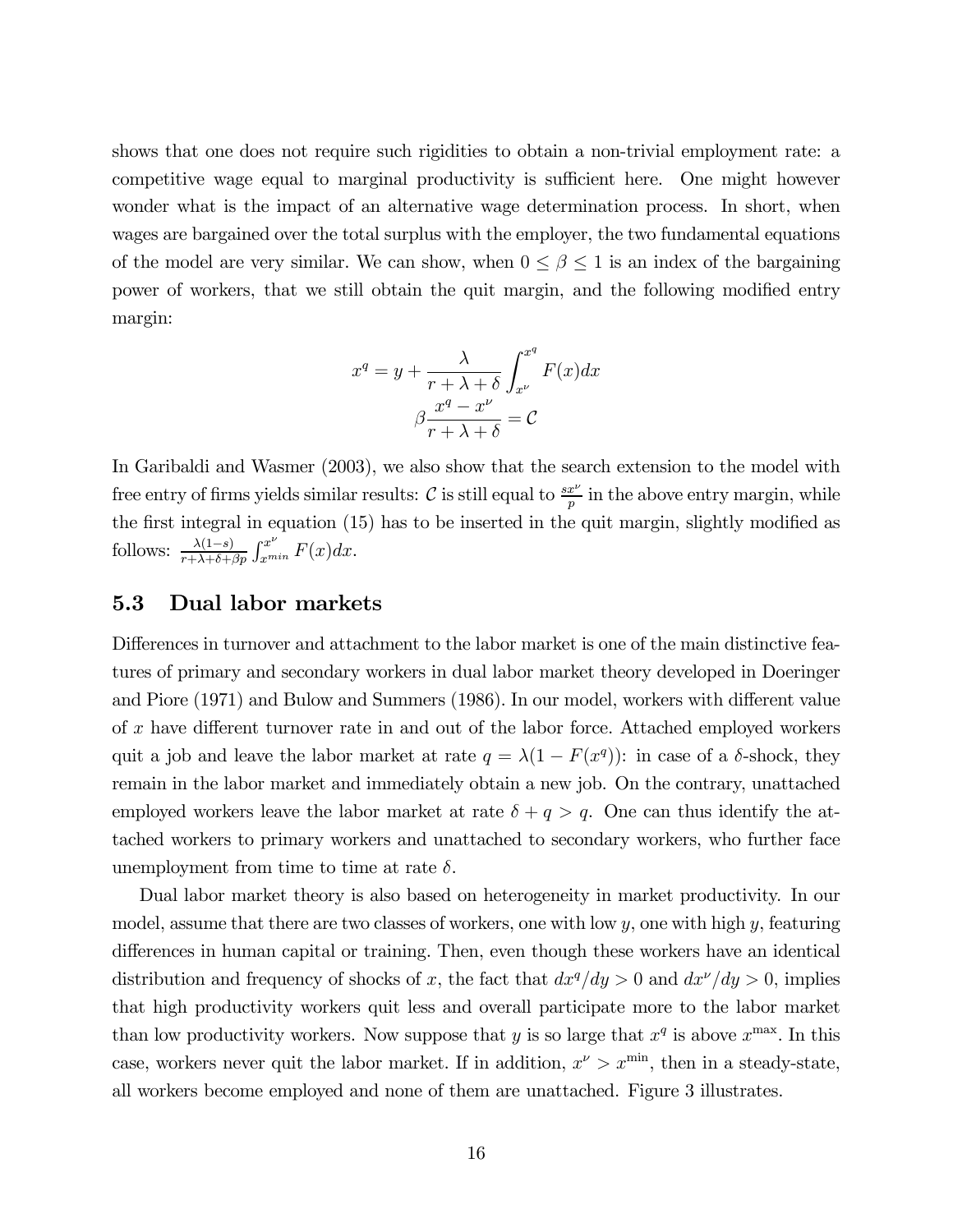shows that one does not require such rigidities to obtain a non-trivial employment rate: a competitive wage equal to marginal productivity is sufficient here. One might however wonder what is the impact of an alternative wage determination process. In short, when wages are bargained over the total surplus with the employer, the two fundamental equations of the model are very similar. We can show, when  $0 \le \beta \le 1$  is an index of the bargaining power of workers, that we still obtain the quit margin, and the following modified entry margin:

$$
x^{q} = y + \frac{\lambda}{r + \lambda + \delta} \int_{x^{\nu}}^{x^{q}} F(x) dx
$$

$$
\beta \frac{x^{q} - x^{\nu}}{r + \lambda + \delta} = C
$$

In Garibaldi and Wasmer (2003), we also show that the search extension to the model with free entry of firms yields similar results:  $C$  is still equal to  $\frac{sx^{\nu}}{p}$  in the above entry margin, while the first integral in equation (15) has to be inserted in the quit margin, slightly modified as follows:  $\frac{\lambda(1-s)}{r+\lambda+\delta+\beta p}\int_{x^{min}}^{x^{\nu}} F(x)dx$ .

## 5.3 Dual labor markets

Differences in turnover and attachment to the labor market is one of the main distinctive features of primary and secondary workers in dual labor market theory developed in Doeringer and Piore (1971) and Bulow and Summers (1986). In our model, workers with different value of x have different turnover rate in and out of the labor force. Attached employed workers quit a job and leave the labor market at rate  $q = \lambda(1 - F(x^q))$ : in case of a δ-shock, they remain in the labor market and immediately obtain a new job. On the contrary, unattached employed workers leave the labor market at rate  $\delta + q > q$ . One can thus identify the attached workers to primary workers and unattached to secondary workers, who further face unemployment from time to time at rate  $\delta$ .

Dual labor market theory is also based on heterogeneity in market productivity. In our model, assume that there are two classes of workers, one with low  $y$ , one with high  $y$ , featuring differences in human capital or training. Then, even though these workers have an identical distribution and frequency of shocks of x, the fact that  $dx^q/dy > 0$  and  $dx^{\nu}/dy > 0$ , implies that high productivity workers quit less and overall participate more to the labor market than low productivity workers. Now suppose that y is so large that  $x^q$  is above  $x^{\max}$ . In this case, workers never quit the labor market. If in addition,  $x^{\nu} > x^{\min}$ , then in a steady-state, all workers become employed and none of them are unattached. Figure 3 illustrates.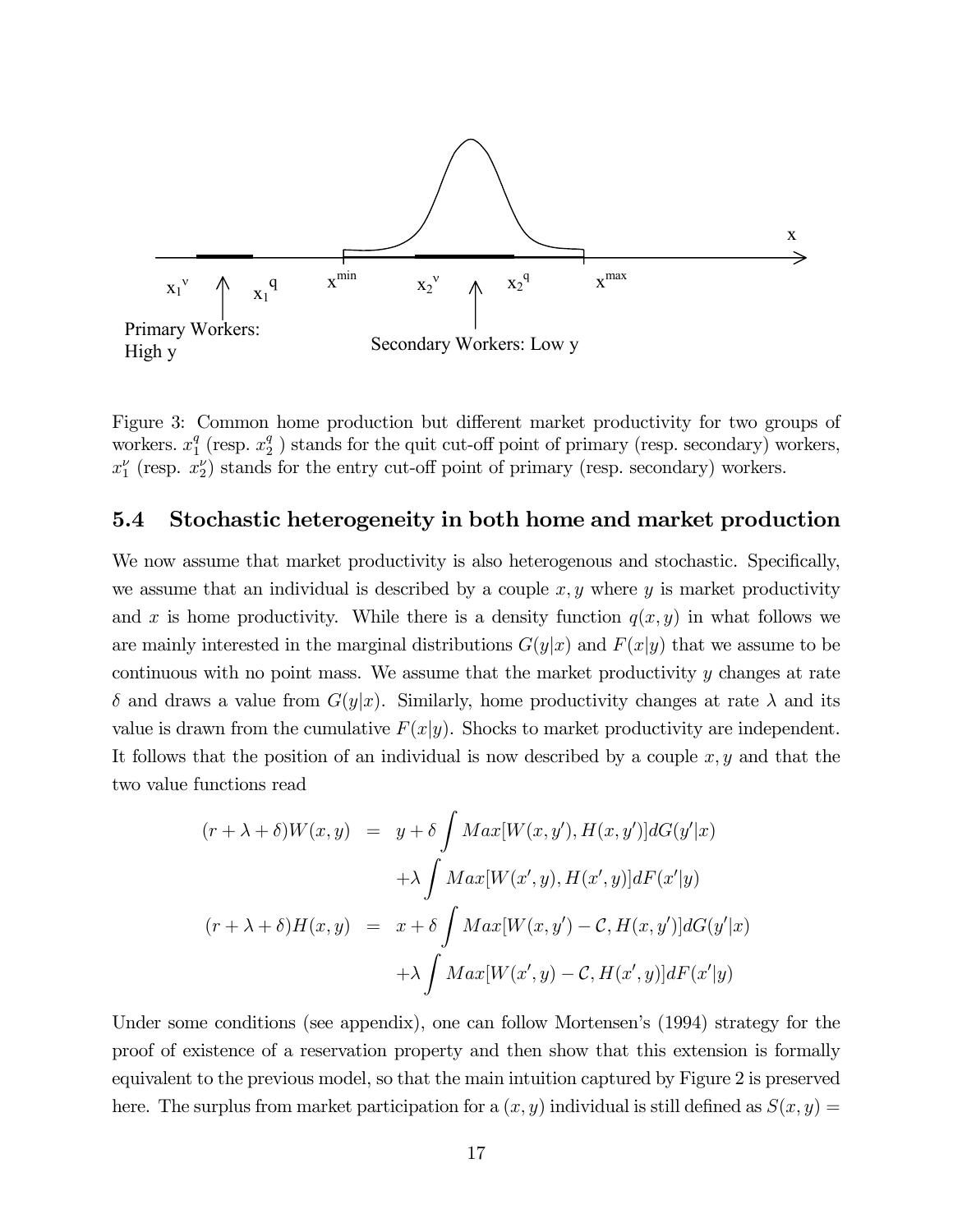

Figure 3: Common home production but different market productivity for two groups of workers.  $x_1^q$  (resp.  $x_2^q$ ) stands for the quit cut-off point of primary (resp. secondary) workers,  $x_1^{\nu}$  (resp.  $x_2^{\nu}$ ) stands for the entry cut-off point of primary (resp. secondary) workers.

## 5.4 Stochastic heterogeneity in both home and market production

We now assume that market productivity is also heterogenous and stochastic. Specifically, we assume that an individual is described by a couple  $x, y$  where  $y$  is market productivity and x is home productivity. While there is a density function  $q(x, y)$  in what follows we are mainly interested in the marginal distributions  $G(y|x)$  and  $F(x|y)$  that we assume to be continuous with no point mass. We assume that the market productivity y changes at rate  $\delta$  and draws a value from  $G(y|x)$ . Similarly, home productivity changes at rate  $\lambda$  and its value is drawn from the cumulative  $F(x|y)$ . Shocks to market productivity are independent. It follows that the position of an individual is now described by a couple  $x, y$  and that the two value functions read

$$
(r + \lambda + \delta)W(x, y) = y + \delta \int Max[W(x, y'), H(x, y')] dG(y'|x)
$$

$$
+ \lambda \int Max[W(x', y), H(x', y)] dF(x'|y)
$$

$$
(r + \lambda + \delta)H(x, y) = x + \delta \int Max[W(x, y') - C, H(x, y')] dG(y'|x)
$$

$$
+ \lambda \int Max[W(x', y) - C, H(x', y)] dF(x'|y)
$$

Under some conditions (see appendix), one can follow Mortensen's (1994) strategy for the proof of existence of a reservation property and then show that this extension is formally equivalent to the previous model, so that the main intuition captured by Figure 2 is preserved here. The surplus from market participation for a  $(x, y)$  individual is still defined as  $S(x, y) =$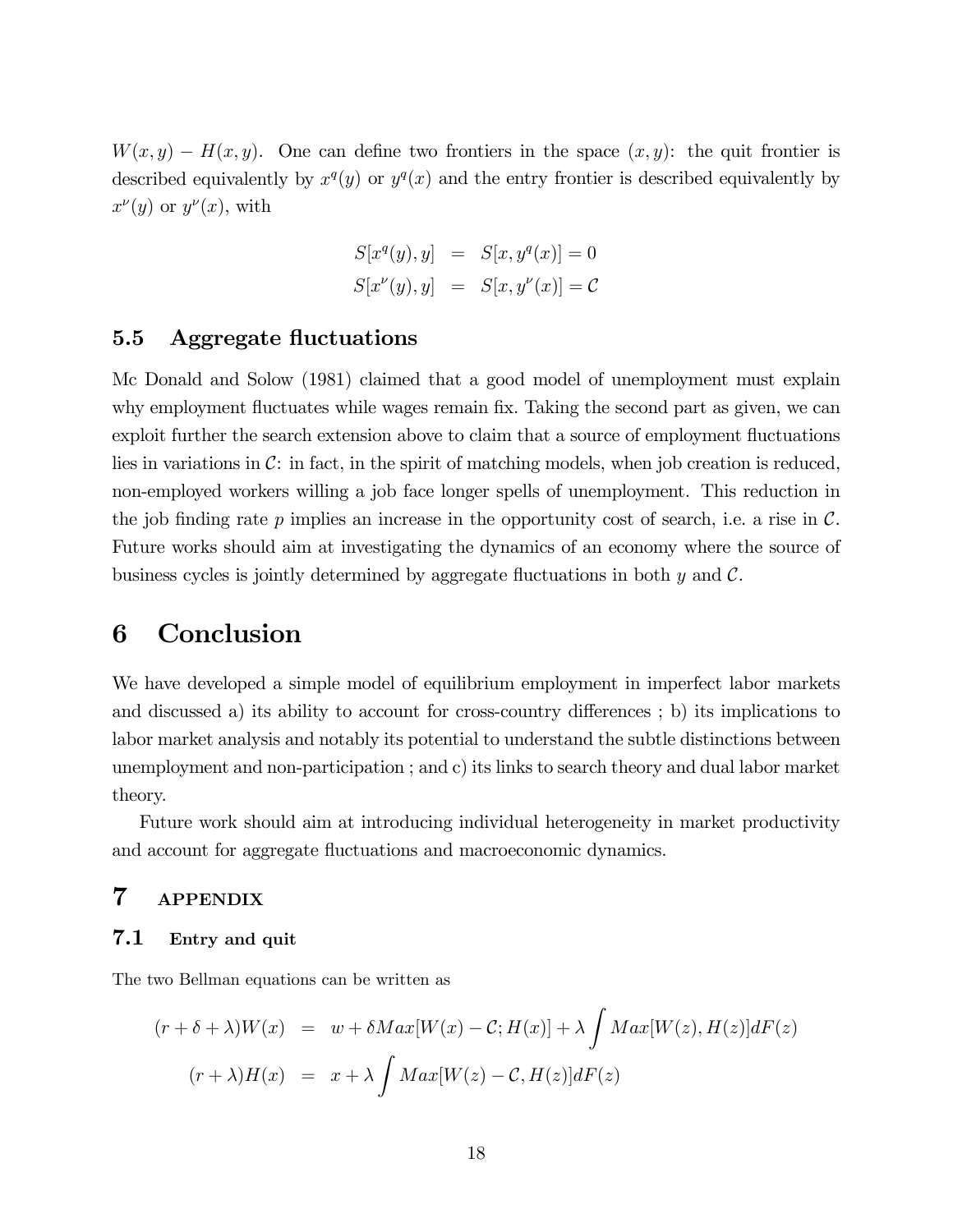$W(x, y) - H(x, y)$ . One can define two frontiers in the space  $(x, y)$ : the quit frontier is described equivalently by  $x^q(y)$  or  $y^q(x)$  and the entry frontier is described equivalently by  $x^{\nu}(y)$  or  $y^{\nu}(x)$ , with

$$
S[xq(y), y] = S[x, yq(x)] = 0
$$
  

$$
S[x\nu(y), y] = S[x, y\nu(x)] = C
$$

#### 5.5 Aggregate fluctuations

Mc Donald and Solow (1981) claimed that a good model of unemployment must explain why employment fluctuates while wages remain fix. Taking the second part as given, we can exploit further the search extension above to claim that a source of employment fluctuations lies in variations in  $\mathcal{C}$ : in fact, in the spirit of matching models, when job creation is reduced, non-employed workers willing a job face longer spells of unemployment. This reduction in the job finding rate  $p$  implies an increase in the opportunity cost of search, i.e. a rise in  $\mathcal{C}$ . Future works should aim at investigating the dynamics of an economy where the source of business cycles is jointly determined by aggregate fluctuations in both  $y$  and  $\mathcal{C}$ .

## 6 Conclusion

We have developed a simple model of equilibrium employment in imperfect labor markets and discussed a) its ability to account for cross-country differences ; b) its implications to labor market analysis and notably its potential to understand the subtle distinctions between unemployment and non-participation ; and c) its links to search theory and dual labor market theory.

Future work should aim at introducing individual heterogeneity in market productivity and account for aggregate fluctuations and macroeconomic dynamics.

## 7 APPENDIX

#### 7.1 Entry and quit

The two Bellman equations can be written as

$$
(r + \delta + \lambda)W(x) = w + \delta Max[W(x) - C; H(x)] + \lambda \int Max[W(z), H(z)]dF(z)
$$

$$
(r + \lambda)H(x) = x + \lambda \int Max[W(z) - C, H(z)]dF(z)
$$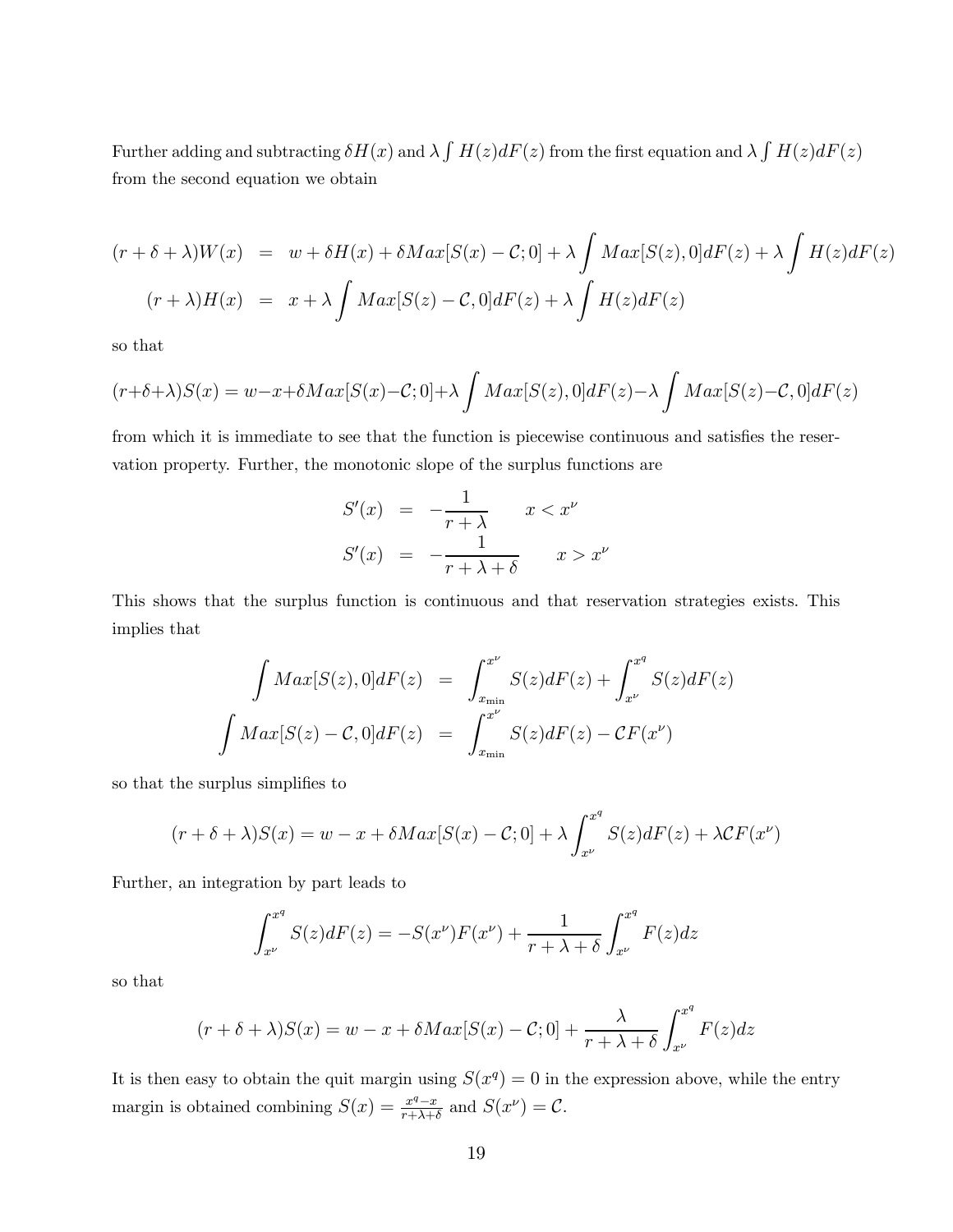Further adding and subtracting  $\delta H(x)$  and  $\lambda \int H(z) dF(z)$  from the first equation and  $\lambda \int H(z) dF(z)$ from the second equation we obtain

$$
(r + \delta + \lambda)W(x) = w + \delta H(x) + \delta Max[S(x) - C; 0] + \lambda \int Max[S(z), 0]dF(z) + \lambda \int H(z)dF(z)
$$
  

$$
(r + \lambda)H(x) = x + \lambda \int Max[S(z) - C, 0]dF(z) + \lambda \int H(z)dF(z)
$$

so that

$$
(r+\delta+\lambda)S(x) = w-x+\delta Max[S(x)-C;0]+\lambda \int Max[S(z),0]dF(z)-\lambda \int Max[S(z)-C,0]dF(z)
$$

from which it is immediate to see that the function is piecewise continuous and satisfies the reservation property. Further, the monotonic slope of the surplus functions are

$$
S'(x) = -\frac{1}{r + \lambda} \qquad x < x^{\nu}
$$
\n
$$
S'(x) = -\frac{1}{r + \lambda + \delta} \qquad x > x^{\nu}
$$

This shows that the surplus function is continuous and that reservation strategies exists. This implies that

$$
\int Max[S(z),0]dF(z) = \int_{x_{\min}}^{x^{\nu}} S(z)dF(z) + \int_{x^{\nu}}^{x^q} S(z)dF(z)
$$

$$
\int Max[S(z) - C,0]dF(z) = \int_{x_{\min}}^{x^{\nu}} S(z)dF(z) - CF(x^{\nu})
$$

so that the surplus simplifies to

$$
(r + \delta + \lambda)S(x) = w - x + \delta Max[S(x) - C; 0] + \lambda \int_{x^{\nu}}^{x^q} S(z) dF(z) + \lambda C F(x^{\nu})
$$

Further, an integration by part leads to

$$
\int_{x^{\nu}}^{x^q} S(z)dF(z) = -S(x^{\nu})F(x^{\nu}) + \frac{1}{r + \lambda + \delta} \int_{x^{\nu}}^{x^q} F(z)dz
$$

so that

$$
(r+\delta+\lambda)S(x) = w - x + \delta Max[S(x) - C; 0] + \frac{\lambda}{r+\lambda+\delta} \int_{x^{\nu}}^{x^q} F(z)dz
$$

It is then easy to obtain the quit margin using  $S(x^q)=0$  in the expression above, while the entry margin is obtained combining  $S(x) = \frac{x^q - x}{r + \lambda + \delta}$  and  $S(x^{\nu}) = C$ .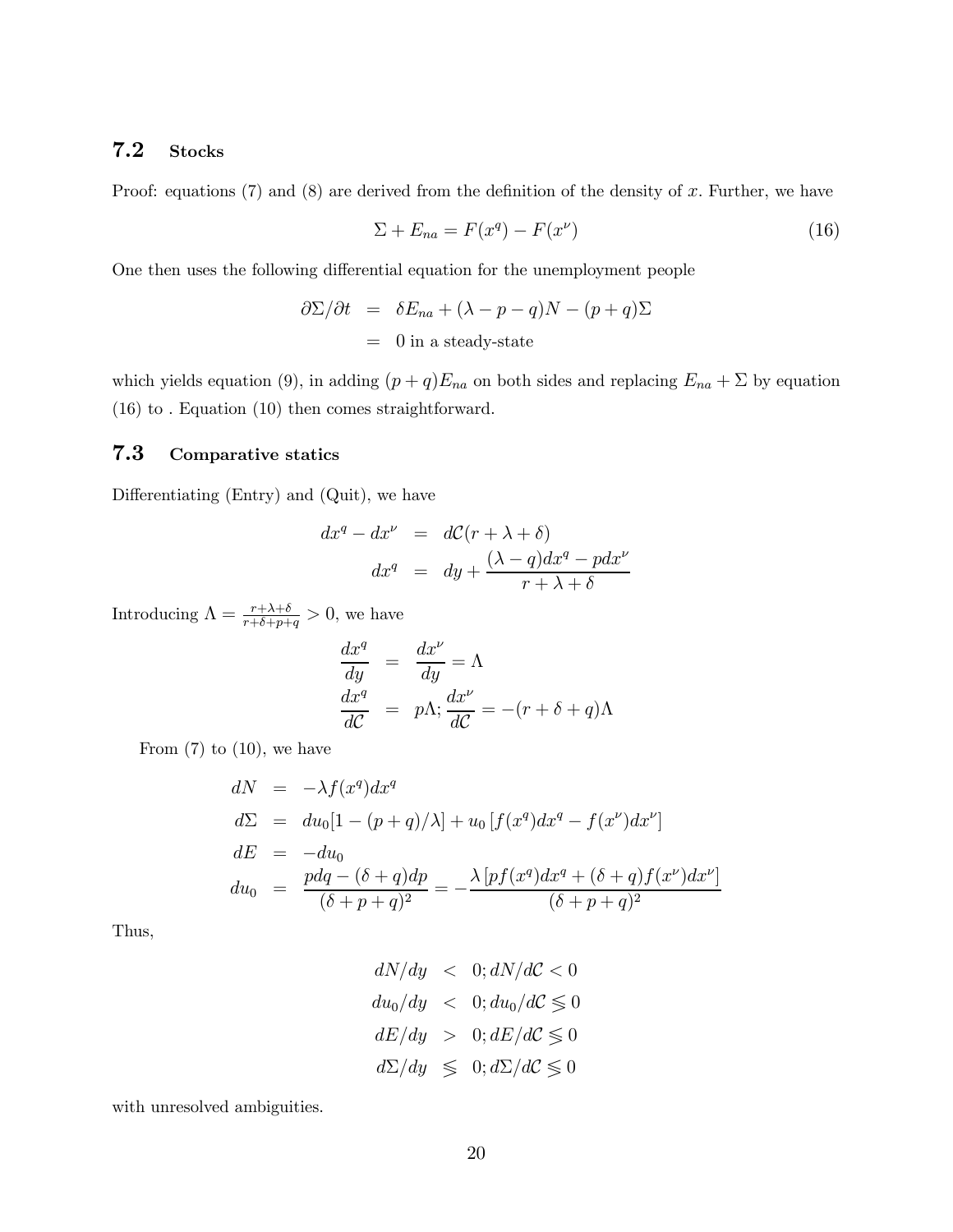## 7.2 Stocks

Proof: equations  $(7)$  and  $(8)$  are derived from the definition of the density of x. Further, we have

$$
\Sigma + E_{na} = F(x^q) - F(x^\nu) \tag{16}
$$

One then uses the following differential equation for the unemployment people

$$
\partial \Sigma / \partial t = \delta E_{na} + (\lambda - p - q)N - (p + q)\Sigma
$$
  
= 0 in a steady-state

which yields equation (9), in adding  $(p+q)E_{na}$  on both sides and replacing  $E_{na} + \Sigma$  by equation (16) to . Equation (10) then comes straightforward.

#### 7.3 Comparative statics

Differentiating (Entry) and (Quit), we have

$$
dx^{q} - dx^{\nu} = dC(r + \lambda + \delta)
$$
  

$$
dx^{q} = dy + \frac{(\lambda - q)dx^{q} - pdx^{\nu}}{r + \lambda + \delta}
$$

Introducing  $\Lambda = \frac{r + \lambda + \delta}{r + \delta + p + q} > 0$ , we have

$$
\frac{dx^q}{dy} = \frac{dx^{\nu}}{dy} = \Lambda
$$
  

$$
\frac{dx^q}{d\mathcal{C}} = p\Lambda; \frac{dx^{\nu}}{d\mathcal{C}} = -(r + \delta + q)\Lambda
$$

From  $(7)$  to  $(10)$ , we have

$$
dN = -\lambda f(x^q)dx^q
$$
  
\n
$$
d\Sigma = du_0[1 - (p+q)/\lambda] + u_0[f(x^q)dx^q - f(x^\nu)dx^\nu]
$$
  
\n
$$
dE = -du_0
$$
  
\n
$$
du_0 = \frac{pdq - (\delta + q)dp}{(\delta + p + q)^2} = -\frac{\lambda [pf(x^q)dx^q + (\delta + q)f(x^\nu)dx^\nu]}{(\delta + p + q)^2}
$$

Thus,

$$
dN/dy < 0; dN/dC < 0
$$
  
\n
$$
du_0/dy < 0; du_0/dC \le 0
$$
  
\n
$$
dE/dy > 0; dE/dC \le 0
$$
  
\n
$$
d\Sigma/dy \le 0; d\Sigma/dC \le 0
$$

with unresolved ambiguities.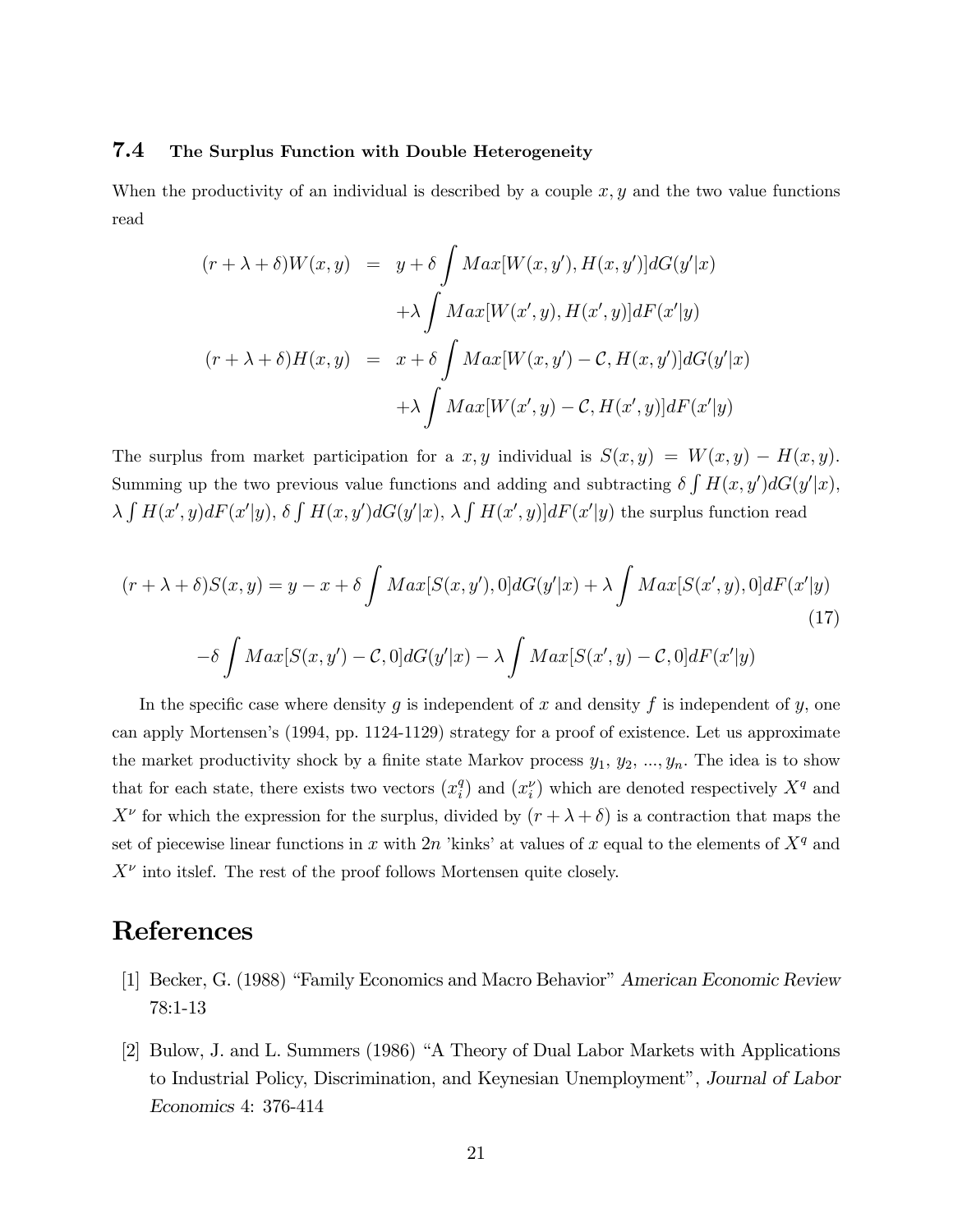#### 7.4 The Surplus Function with Double Heterogeneity

When the productivity of an individual is described by a couple  $x, y$  and the two value functions read

$$
(r + \lambda + \delta)W(x, y) = y + \delta \int Max[W(x, y'), H(x, y')] dG(y'|x)
$$

$$
+ \lambda \int Max[W(x', y), H(x', y)] dF(x'|y)
$$

$$
(r + \lambda + \delta)H(x, y) = x + \delta \int Max[W(x, y') - C, H(x, y')] dG(y'|x)
$$

$$
+ \lambda \int Max[W(x', y) - C, H(x', y)] dF(x'|y)
$$

The surplus from market participation for a  $x, y$  individual is  $S(x, y) = W(x, y) - H(x, y)$ . Summing up the two previous value functions and adding and subtracting  $\delta \int H(x, y') dG(y'|x)$ ,  $\lambda \int H(x',y)dF(x'|y), \delta \int H(x,y')dG(y'|x), \lambda \int H(x',y)]dF(x'|y)$  the surplus function read

$$
(r + \lambda + \delta)S(x, y) = y - x + \delta \int Max[S(x, y'), 0] dG(y'|x) + \lambda \int Max[S(x', y), 0] dF(x'|y)
$$
  

$$
-\delta \int Max[S(x, y') - C, 0] dG(y'|x) - \lambda \int Max[S(x', y) - C, 0] dF(x'|y)
$$
  
(17)

In the specific case where density  $g$  is independent of  $x$  and density  $f$  is independent of  $y$ , one can apply Mortensen's (1994, pp. 1124-1129) strategy for a proof of existence. Let us approximate the market productivity shock by a finite state Markov process  $y_1, y_2, ..., y_n$ . The idea is to show that for each state, there exists two vectors  $(x_i^q)$  and  $(x_i^{\nu})$  which are denoted respectively  $X^q$  and  $X^{\nu}$  for which the expression for the surplus, divided by  $(r + \lambda + \delta)$  is a contraction that maps the set of piecewise linear functions in x with 2n 'kinks' at values of x equal to the elements of  $X<sup>q</sup>$  and  $X^{\nu}$  into itslef. The rest of the proof follows Mortensen quite closely.

## References

- [1] Becker, G. (1988) "Family Economics and Macro Behavior" American Economic Review 78:1-13
- [2] Bulow, J. and L. Summers (1986) "A Theory of Dual Labor Markets with Applications to Industrial Policy, Discrimination, and Keynesian Unemployment", Journal of Labor Economics 4: 376-414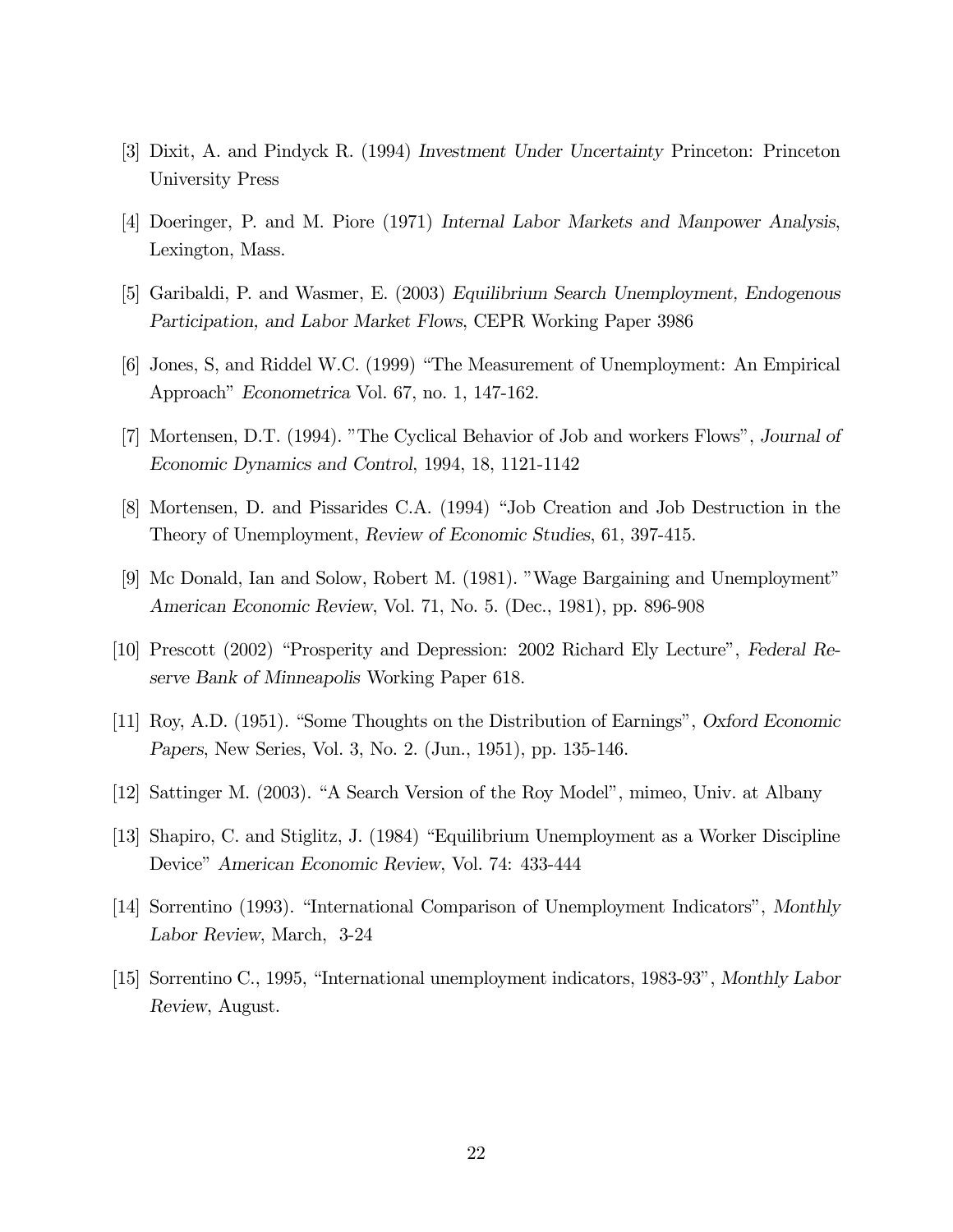- [3] Dixit, A. and Pindyck R. (1994) Investment Under Uncertainty Princeton: Princeton University Press
- [4] Doeringer, P. and M. Piore (1971) Internal Labor Markets and Manpower Analysis, Lexington, Mass.
- [5] Garibaldi, P. and Wasmer, E. (2003) Equilibrium Search Unemployment, Endogenous Participation, and Labor Market Flows, CEPR Working Paper 3986
- [6] Jones, S, and Riddel W.C. (1999) "The Measurement of Unemployment: An Empirical Approach" Econometrica Vol. 67, no. 1, 147-162.
- [7] Mortensen, D.T. (1994). "The Cyclical Behavior of Job and workers Flows", Journal of Economic Dynamics and Control, 1994, 18, 1121-1142
- [8] Mortensen, D. and Pissarides C.A. (1994) "Job Creation and Job Destruction in the Theory of Unemployment, Review of Economic Studies, 61, 397-415.
- [9] Mc Donald, Ian and Solow, Robert M. (1981). "Wage Bargaining and Unemployment" American Economic Review, Vol. 71, No. 5. (Dec., 1981), pp. 896-908
- [10] Prescott (2002) "Prosperity and Depression: 2002 Richard Ely Lecture", Federal Reserve Bank of Minneapolis Working Paper 618.
- [11] Roy, A.D. (1951). "Some Thoughts on the Distribution of Earnings", Oxford Economic Papers, New Series, Vol. 3, No. 2. (Jun., 1951), pp. 135-146.
- [12] Sattinger M. (2003). "A Search Version of the Roy Model", mimeo, Univ. at Albany
- [13] Shapiro, C. and Stiglitz, J. (1984) "Equilibrium Unemployment as a Worker Discipline Device" American Economic Review, Vol. 74: 433-444
- [14] Sorrentino (1993). "International Comparison of Unemployment Indicators", Monthly Labor Review, March, 3-24
- [15] Sorrentino C., 1995, "International unemployment indicators, 1983-93", Monthly Labor Review, August.